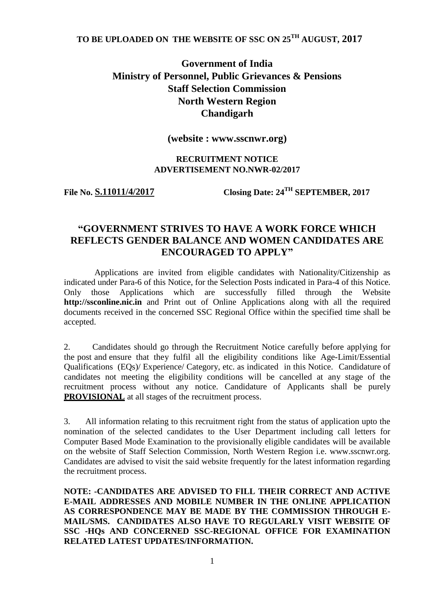## **TO BE UPLOADED ON THE WEBSITE OF SSC ON 25TH AUGUST, 2017**

## **Government of India Ministry of Personnel, Public Grievances & Pensions Staff Selection Commission North Western Region Chandigarh**

**(website : www.sscnwr.org)**

#### **RECRUITMENT NOTICE ADVERTISEMENT NO.NWR-02/2017**

**File No. S.11011/4/2017 Closing Date: 24TH SEPTEMBER, 2017**

## **"GOVERNMENT STRIVES TO HAVE A WORK FORCE WHICH REFLECTS GENDER BALANCE AND WOMEN CANDIDATES ARE ENCOURAGED TO APPLY"**

Applications are invited from eligible candidates with Nationality/Citizenship as indicated under Para-6 of this Notice, for the Selection Posts indicated in Para-4 of this Notice. Only those Applications which are successfully filled through the Website **http://ssconline.nic.in** and Print out of Online Applications along with all the required documents received in the concerned SSC Regional Office within the specified time shall be accepted.

2. Candidates should go through the Recruitment Notice carefully before applying for the post and ensure that they fulfil all the eligibility conditions like Age-Limit/Essential Qualifications (EQs)/ Experience/ Category, etc. as indicated in this Notice. Candidature of candidates not meeting the eligibility conditions will be cancelled at any stage of the recruitment process without any notice. Candidature of Applicants shall be purely **PROVISIONAL** at all stages of the recruitment process.

3. All information relating to this recruitment right from the status of application upto the nomination of the selected candidates to the User Department including call letters for Computer Based Mode Examination to the provisionally eligible candidates will be available on the website of Staff Selection Commission, North Western Region i.e. www.sscnwr.org. Candidates are advised to visit the said website frequently for the latest information regarding the recruitment process.

**NOTE: -CANDIDATES ARE ADVISED TO FILL THEIR CORRECT AND ACTIVE E-MAIL ADDRESSES AND MOBILE NUMBER IN THE ONLINE APPLICATION AS CORRESPONDENCE MAY BE MADE BY THE COMMISSION THROUGH E-MAIL/SMS. CANDIDATES ALSO HAVE TO REGULARLY VISIT WEBSITE OF SSC -HQs AND CONCERNED SSC-REGIONAL OFFICE FOR EXAMINATION RELATED LATEST UPDATES/INFORMATION.**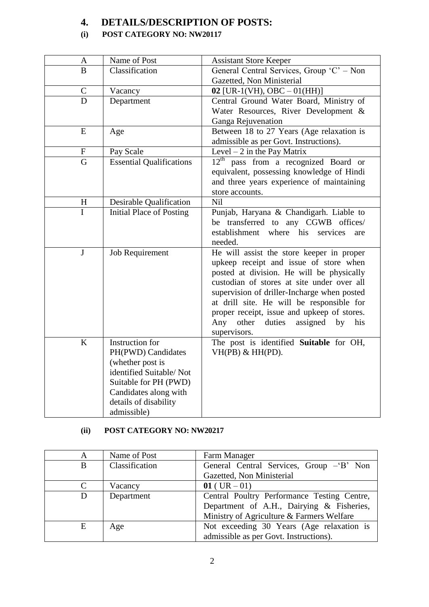## **4. DETAILS/DESCRIPTION OF POSTS:**

## **(i) POST CATEGORY NO: NW20117**

| A             | Name of Post                                                                                                                                                                   | <b>Assistant Store Keeper</b>                                                                                                                                                                                                                                                                                                                                                          |
|---------------|--------------------------------------------------------------------------------------------------------------------------------------------------------------------------------|----------------------------------------------------------------------------------------------------------------------------------------------------------------------------------------------------------------------------------------------------------------------------------------------------------------------------------------------------------------------------------------|
| B             | Classification                                                                                                                                                                 | General Central Services, Group 'C' - Non                                                                                                                                                                                                                                                                                                                                              |
|               |                                                                                                                                                                                | Gazetted, Non Ministerial                                                                                                                                                                                                                                                                                                                                                              |
| $\mathcal{C}$ | Vacancy                                                                                                                                                                        | 02 [UR-1(VH), OBC $-01(HH)$ ]                                                                                                                                                                                                                                                                                                                                                          |
| D             | Department                                                                                                                                                                     | Central Ground Water Board, Ministry of<br>Water Resources, River Development &<br>Ganga Rejuvenation                                                                                                                                                                                                                                                                                  |
| E             | Age                                                                                                                                                                            | Between 18 to 27 Years (Age relaxation is<br>admissible as per Govt. Instructions).                                                                                                                                                                                                                                                                                                    |
| ${\bf F}$     | Pay Scale                                                                                                                                                                      | Level $-2$ in the Pay Matrix                                                                                                                                                                                                                                                                                                                                                           |
| G             | <b>Essential Qualifications</b>                                                                                                                                                | $12^{\text{th}}$<br>pass from a recognized Board or<br>equivalent, possessing knowledge of Hindi<br>and three years experience of maintaining<br>store accounts.                                                                                                                                                                                                                       |
| H             | Desirable Qualification                                                                                                                                                        | <b>Nil</b>                                                                                                                                                                                                                                                                                                                                                                             |
| $\mathbf I$   | Initial Place of Posting                                                                                                                                                       | Punjab, Haryana & Chandigarh. Liable to<br>be transferred to any CGWB offices/<br>where his<br>establishment<br>services<br>are<br>needed.                                                                                                                                                                                                                                             |
| $\mathbf{J}$  | Job Requirement                                                                                                                                                                | He will assist the store keeper in proper<br>upkeep receipt and issue of store when<br>posted at division. He will be physically<br>custodian of stores at site under over all<br>supervision of driller-Incharge when posted<br>at drill site. He will be responsible for<br>proper receipt, issue and upkeep of stores.<br>Any other<br>duties<br>assigned by<br>his<br>supervisors. |
| K             | Instruction for<br>PH(PWD) Candidates<br>(whether post is<br>identified Suitable/Not<br>Suitable for PH (PWD)<br>Candidates along with<br>details of disability<br>admissible) | The post is identified Suitable for OH,<br>$VH(PB)$ & $HH(PD)$ .                                                                                                                                                                                                                                                                                                                       |

## **(ii) POST CATEGORY NO: NW20217**

| A | Name of Post   | Farm Manager                                |
|---|----------------|---------------------------------------------|
| B | Classification | General Central Services, Group - B' Non    |
|   |                | Gazetted, Non Ministerial                   |
| C | Vacancy        | $01$ (UR $-01$ )                            |
| D | Department     | Central Poultry Performance Testing Centre, |
|   |                | Department of A.H., Dairying & Fisheries,   |
|   |                | Ministry of Agriculture & Farmers Welfare   |
| E | Age            | Not exceeding 30 Years (Age relaxation is   |
|   |                | admissible as per Govt. Instructions).      |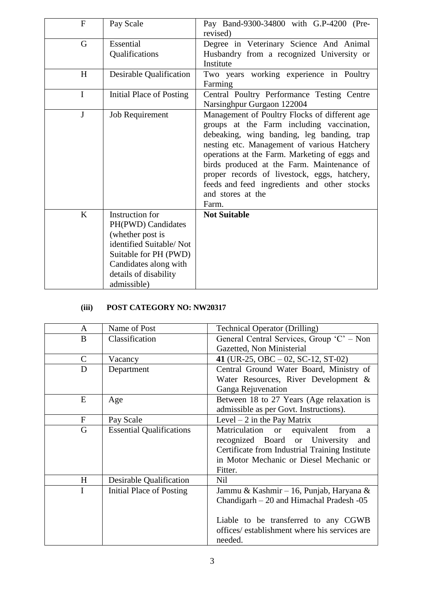| $\mathbf{F}$ | Pay Scale                                                                                                                                                                      | Pay Band-9300-34800 with G.P-4200 (Pre-<br>revised)                                                                                                                                                                                                                                                                                                                                                                 |
|--------------|--------------------------------------------------------------------------------------------------------------------------------------------------------------------------------|---------------------------------------------------------------------------------------------------------------------------------------------------------------------------------------------------------------------------------------------------------------------------------------------------------------------------------------------------------------------------------------------------------------------|
| G            | Essential<br>Qualifications                                                                                                                                                    | Degree in Veterinary Science And Animal<br>Husbandry from a recognized University or<br>Institute                                                                                                                                                                                                                                                                                                                   |
| H            | Desirable Qualification                                                                                                                                                        | Two years working experience in Poultry<br>Farming                                                                                                                                                                                                                                                                                                                                                                  |
| $\mathbf I$  | Initial Place of Posting                                                                                                                                                       | Central Poultry Performance Testing Centre<br>Narsinghpur Gurgaon 122004                                                                                                                                                                                                                                                                                                                                            |
| $\mathbf{J}$ | <b>Job Requirement</b>                                                                                                                                                         | Management of Poultry Flocks of different age<br>groups at the Farm including vaccination,<br>debeaking, wing banding, leg banding, trap<br>nesting etc. Management of various Hatchery<br>operations at the Farm. Marketing of eggs and<br>birds produced at the Farm. Maintenance of<br>proper records of livestock, eggs, hatchery,<br>feeds and feed ingredients and other stocks<br>and stores at the<br>Farm. |
| K            | Instruction for<br>PH(PWD) Candidates<br>(whether post is<br>identified Suitable/Not<br>Suitable for PH (PWD)<br>Candidates along with<br>details of disability<br>admissible) | <b>Not Suitable</b>                                                                                                                                                                                                                                                                                                                                                                                                 |

## **(iii) POST CATEGORY NO: NW20317**

| A           | Name of Post                    | <b>Technical Operator (Drilling)</b>                                                |
|-------------|---------------------------------|-------------------------------------------------------------------------------------|
| B           | Classification                  | General Central Services, Group 'C' – Non                                           |
|             |                                 | Gazetted, Non Ministerial                                                           |
| C           | Vacancy                         | 41 (UR-25, OBC $-02$ , SC-12, ST-02)                                                |
| D           | Department                      | Central Ground Water Board, Ministry of                                             |
|             |                                 | Water Resources, River Development &                                                |
|             |                                 | Ganga Rejuvenation                                                                  |
| E           | Age                             | Between 18 to 27 Years (Age relaxation is<br>admissible as per Govt. Instructions). |
| $\mathbf F$ | Pay Scale                       | Level $-2$ in the Pay Matrix                                                        |
|             |                                 |                                                                                     |
| G           | <b>Essential Qualifications</b> | Matriculation or<br>equivalent from<br>a                                            |
|             |                                 | recognized Board or University<br>and                                               |
|             |                                 | Certificate from Industrial Training Institute                                      |
|             |                                 | in Motor Mechanic or Diesel Mechanic or                                             |
|             |                                 | Fitter.                                                                             |
| H           | Desirable Qualification         | <b>Nil</b>                                                                          |
| I           | Initial Place of Posting        | Jammu & Kashmir - 16, Punjab, Haryana &                                             |
|             |                                 | Chandigarh – 20 and Himachal Pradesh -05                                            |
|             |                                 |                                                                                     |
|             |                                 | Liable to be transferred to any CGWB                                                |
|             |                                 | offices/ establishment where his services are                                       |
|             |                                 | needed.                                                                             |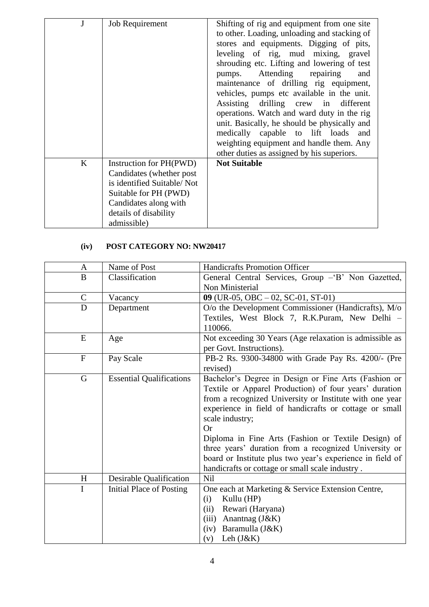|   | <b>Job Requirement</b>                                                                                                                                                       | Shifting of rig and equipment from one site<br>to other. Loading, unloading and stacking of<br>stores and equipments. Digging of pits,<br>leveling of rig, mud mixing, gravel<br>shrouding etc. Lifting and lowering of test<br>pumps. Attending repairing<br>and<br>maintenance of drilling rig equipment,<br>vehicles, pumps etc available in the unit.<br>Assisting drilling crew in different<br>operations. Watch and ward duty in the rig<br>unit. Basically, he should be physically and<br>medically capable to lift loads and<br>weighting equipment and handle them. Any<br>other duties as assigned by his superiors. |
|---|------------------------------------------------------------------------------------------------------------------------------------------------------------------------------|----------------------------------------------------------------------------------------------------------------------------------------------------------------------------------------------------------------------------------------------------------------------------------------------------------------------------------------------------------------------------------------------------------------------------------------------------------------------------------------------------------------------------------------------------------------------------------------------------------------------------------|
| K | Instruction for PH(PWD)<br>Candidates (whether post)<br>is identified Suitable/Not<br>Suitable for PH (PWD)<br>Candidates along with<br>details of disability<br>admissible) | <b>Not Suitable</b>                                                                                                                                                                                                                                                                                                                                                                                                                                                                                                                                                                                                              |

# **(iv) POST CATEGORY NO: NW20417**

| A            | Name of Post                    | <b>Handicrafts Promotion Officer</b>                      |
|--------------|---------------------------------|-----------------------------------------------------------|
| B            | Classification                  | General Central Services, Group - B' Non Gazetted,        |
|              |                                 | Non Ministerial                                           |
| $\mathsf{C}$ | Vacancy                         | 09 (UR-05, OBC $-02$ , SC-01, ST-01)                      |
| D            | Department                      | O/o the Development Commissioner (Handicrafts), M/o       |
|              |                                 | Textiles, West Block 7, R.K.Puram, New Delhi -            |
|              |                                 | 110066.                                                   |
| E            | Age                             | Not exceeding 30 Years (Age relaxation is admissible as   |
|              |                                 | per Govt. Instructions).                                  |
| $\mathbf F$  | Pay Scale                       | PB-2 Rs. 9300-34800 with Grade Pay Rs. 4200/- (Pre        |
|              |                                 | revised)                                                  |
| G            | <b>Essential Qualifications</b> | Bachelor's Degree in Design or Fine Arts (Fashion or      |
|              |                                 | Textile or Apparel Production) of four years' duration    |
|              |                                 | from a recognized University or Institute with one year   |
|              |                                 | experience in field of handicrafts or cottage or small    |
|              |                                 | scale industry;                                           |
|              |                                 | Or                                                        |
|              |                                 | Diploma in Fine Arts (Fashion or Textile Design) of       |
|              |                                 | three years' duration from a recognized University or     |
|              |                                 | board or Institute plus two year's experience in field of |
|              |                                 | handicrafts or cottage or small scale industry.           |
| H            | Desirable Qualification         | <b>Nil</b>                                                |
| I            | Initial Place of Posting        | One each at Marketing & Service Extension Centre,         |
|              |                                 | Kullu (HP)<br>(i)                                         |
|              |                                 | (ii)<br>Rewari (Haryana)                                  |
|              |                                 | Anantnag (J&K)<br>(iii)                                   |
|              |                                 | Baramulla (J&K)<br>(iv)                                   |
|              |                                 | Leh $(J&K)$<br>(v)                                        |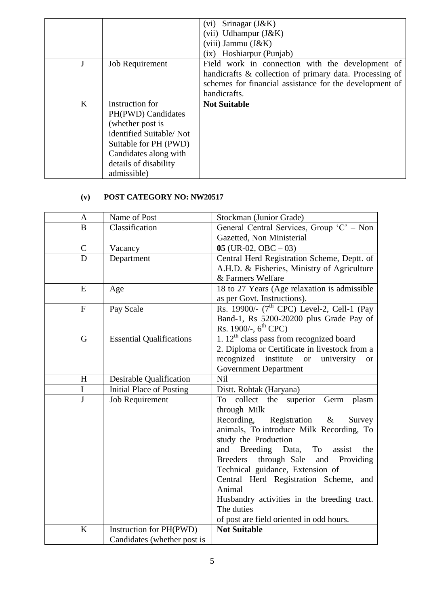|   |                         | Srinagar $(J&K)$<br>(vi)<br>$(vii)$ Udhampur $(J&K)$    |
|---|-------------------------|---------------------------------------------------------|
|   |                         | $(viii)$ Jammu $(J&K)$                                  |
|   |                         | (ix) Hoshiarpur (Punjab)                                |
|   | <b>Job Requirement</b>  | Field work in connection with the development of        |
|   |                         | handicrafts & collection of primary data. Processing of |
|   |                         | schemes for financial assistance for the development of |
|   |                         | handicrafts.                                            |
| K | Instruction for         | <b>Not Suitable</b>                                     |
|   | PH(PWD) Candidates      |                                                         |
|   | (whether post is        |                                                         |
|   | identified Suitable/Not |                                                         |
|   | Suitable for PH (PWD)   |                                                         |
|   | Candidates along with   |                                                         |
|   | details of disability   |                                                         |
|   | admissible)             |                                                         |

## **(v) POST CATEGORY NO: NW20517**

| A              | Name of Post                    | Stockman (Junior Grade)                                      |
|----------------|---------------------------------|--------------------------------------------------------------|
| B              | Classification                  | General Central Services, Group 'C' - Non                    |
|                |                                 | Gazetted, Non Ministerial                                    |
| $\mathbf C$    | Vacancy                         | $05$ (UR-02, OBC $-03$ )                                     |
| $\overline{D}$ | Department                      | Central Herd Registration Scheme, Deptt. of                  |
|                |                                 | A.H.D. & Fisheries, Ministry of Agriculture                  |
|                |                                 | & Farmers Welfare                                            |
| E              | Age                             | 18 to 27 Years (Age relaxation is admissible                 |
|                |                                 | as per Govt. Instructions).                                  |
| $\mathbf{F}$   | Pay Scale                       | Rs. 19900/- $(7th$ CPC) Level-2, Cell-1 (Pay                 |
|                |                                 | Band-1, Rs 5200-20200 plus Grade Pay of                      |
|                |                                 | Rs. 1900/-, $6^{\text{th}}$ CPC)                             |
| $\mathbf G$    | <b>Essential Qualifications</b> | 1. $12th$ class pass from recognized board                   |
|                |                                 | 2. Diploma or Certificate in livestock from a                |
|                |                                 | recognized institute<br>university<br><b>or</b><br><b>or</b> |
|                |                                 | <b>Government Department</b>                                 |
| H              | Desirable Qualification         | Nil                                                          |
| $\bf{I}$       | <b>Initial Place of Posting</b> | Distt. Rohtak (Haryana)                                      |
| $\mathbf{J}$   | <b>Job Requirement</b>          | collect<br>the<br>To<br>superior<br>Germ<br>plasm            |
|                |                                 | through Milk                                                 |
|                |                                 | Recording,<br>Registration $\&$<br>Survey                    |
|                |                                 | animals, To introduce Milk Recording, To                     |
|                |                                 | study the Production                                         |
|                |                                 | Breeding Data,<br>and<br>To<br>assist<br>the                 |
|                |                                 | through Sale<br><b>Breeders</b><br>and Providing             |
|                |                                 | Technical guidance, Extension of                             |
|                |                                 | Central Herd Registration Scheme,<br>and                     |
|                |                                 | Animal                                                       |
|                |                                 | Husbandry activities in the breeding tract.                  |
|                |                                 | The duties                                                   |
|                |                                 | of post are field oriented in odd hours.                     |
| $\bf K$        | Instruction for PH(PWD)         | <b>Not Suitable</b>                                          |
|                | Candidates (whether post is     |                                                              |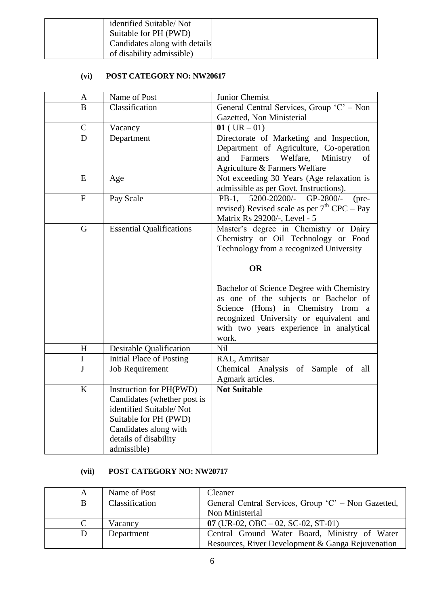| identified Suitable/Not       |  |
|-------------------------------|--|
| Suitable for PH (PWD)         |  |
| Candidates along with details |  |
| of disability admissible)     |  |

## **(vi) POST CATEGORY NO: NW20617**

| $\mathbf{A}$ | Name of Post                                                                                                                                                                | Junior Chemist                                                                                                                                                                                                          |
|--------------|-----------------------------------------------------------------------------------------------------------------------------------------------------------------------------|-------------------------------------------------------------------------------------------------------------------------------------------------------------------------------------------------------------------------|
| B            | Classification                                                                                                                                                              | General Central Services, Group 'C' – Non                                                                                                                                                                               |
|              |                                                                                                                                                                             | Gazetted, Non Ministerial                                                                                                                                                                                               |
| $\mathbf C$  | Vacancy                                                                                                                                                                     | $01$ (UR $-01$ )                                                                                                                                                                                                        |
| D            | Department                                                                                                                                                                  | Directorate of Marketing and Inspection,<br>Department of Agriculture, Co-operation<br>Welfare,<br>and<br>Farmers<br>Ministry<br>of<br>Agriculture & Farmers Welfare                                                    |
| E            | Age                                                                                                                                                                         | Not exceeding 30 Years (Age relaxation is<br>admissible as per Govt. Instructions).                                                                                                                                     |
| $\mathbf{F}$ | Pay Scale                                                                                                                                                                   | 5200-20200/-<br>GP-2800/-<br>$PB-1$ ,<br>$(pre-$<br>revised) Revised scale as per $7th$ CPC – Pay<br>Matrix Rs 29200/-, Level - 5                                                                                       |
| G            | <b>Essential Qualifications</b>                                                                                                                                             | Master's degree in Chemistry or Dairy<br>Chemistry or Oil Technology or Food<br>Technology from a recognized University<br><b>OR</b>                                                                                    |
|              |                                                                                                                                                                             | Bachelor of Science Degree with Chemistry<br>as one of the subjects or Bachelor of<br>Science (Hons) in Chemistry from a<br>recognized University or equivalent and<br>with two years experience in analytical<br>work. |
| H            | Desirable Qualification                                                                                                                                                     | Nil                                                                                                                                                                                                                     |
| I            | <b>Initial Place of Posting</b>                                                                                                                                             | RAL, Amritsar                                                                                                                                                                                                           |
| J            | <b>Job Requirement</b>                                                                                                                                                      | Chemical Analysis of Sample of<br>all<br>Agmark articles.                                                                                                                                                               |
| K            | Instruction for PH(PWD)<br>Candidates (whether post is<br>identified Suitable/Not<br>Suitable for PH (PWD)<br>Candidates along with<br>details of disability<br>admissible) | <b>Not Suitable</b>                                                                                                                                                                                                     |

## **(vii) POST CATEGORY NO: NW20717**

| А | Name of Post   | Cleaner                                             |
|---|----------------|-----------------------------------------------------|
|   | Classification | General Central Services, Group 'C' – Non Gazetted, |
|   |                | Non Ministerial                                     |
|   | Vacancy        | 07 (UR-02, OBC $-$ 02, SC-02, ST-01)                |
|   | Department     | Central Ground Water Board, Ministry of Water       |
|   |                | Resources, River Development & Ganga Rejuvenation   |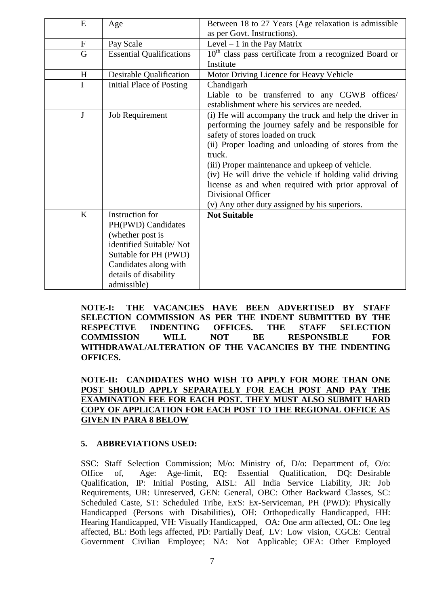| E                | Age                             | Between 18 to 27 Years (Age relaxation is admissible     |
|------------------|---------------------------------|----------------------------------------------------------|
|                  |                                 | as per Govt. Instructions).                              |
| $\boldsymbol{F}$ | Pay Scale                       | Level $-1$ in the Pay Matrix                             |
| G                | <b>Essential Qualifications</b> | $10th$ class pass certificate from a recognized Board or |
|                  |                                 | Institute                                                |
| H                | Desirable Qualification         | Motor Driving Licence for Heavy Vehicle                  |
| $\mathbf I$      | <b>Initial Place of Posting</b> | Chandigarh                                               |
|                  |                                 | Liable to be transferred to any CGWB<br>offices/         |
|                  |                                 | establishment where his services are needed.             |
| $\mathbf{J}$     | Job Requirement                 | (i) He will accompany the truck and help the driver in   |
|                  |                                 | performing the journey safely and be responsible for     |
|                  |                                 | safety of stores loaded on truck                         |
|                  |                                 | (ii) Proper loading and unloading of stores from the     |
|                  |                                 | truck.                                                   |
|                  |                                 | (iii) Proper maintenance and upkeep of vehicle.          |
|                  |                                 | (iv) He will drive the vehicle if holding valid driving  |
|                  |                                 | license as and when required with prior approval of      |
|                  |                                 | Divisional Officer                                       |
|                  |                                 | (v) Any other duty assigned by his superiors.            |
| $\rm K$          | Instruction for                 | <b>Not Suitable</b>                                      |
|                  | PH(PWD) Candidates              |                                                          |
|                  | (whether post is                |                                                          |
|                  | identified Suitable/Not         |                                                          |
|                  | Suitable for PH (PWD)           |                                                          |
|                  | Candidates along with           |                                                          |
|                  | details of disability           |                                                          |
|                  | admissible)                     |                                                          |
|                  |                                 |                                                          |

**NOTE-I: THE VACANCIES HAVE BEEN ADVERTISED BY STAFF SELECTION COMMISSION AS PER THE INDENT SUBMITTED BY THE RESPECTIVE INDENTING OFFICES. THE STAFF SELECTION COMMISSION WILL NOT BE RESPONSIBLE FOR WITHDRAWAL/ALTERATION OF THE VACANCIES BY THE INDENTING OFFICES.**

**NOTE-II: CANDIDATES WHO WISH TO APPLY FOR MORE THAN ONE POST SHOULD APPLY SEPARATELY FOR EACH POST AND PAY THE EXAMINATION FEE FOR EACH POST. THEY MUST ALSO SUBMIT HARD COPY OF APPLICATION FOR EACH POST TO THE REGIONAL OFFICE AS GIVEN IN PARA 8 BELOW**

#### **5. ABBREVIATIONS USED:**

SSC: Staff Selection Commission; M/o: Ministry of, D/o: Department of, O/o: Office of, Age: Age-limit, EQ: Essential Qualification, DQ: Desirable Qualification, IP: Initial Posting, AISL: All India Service Liability, JR: Job Requirements, UR: Unreserved, GEN: General, OBC: Other Backward Classes, SC: Scheduled Caste, ST: Scheduled Tribe, ExS: Ex-Serviceman, PH (PWD): Physically Handicapped (Persons with Disabilities), OH: Orthopedically Handicapped, HH: Hearing Handicapped, VH: Visually Handicapped, OA: One arm affected, OL: One leg affected, BL: Both legs affected, PD: Partially Deaf, LV: Low vision, CGCE: Central Government Civilian Employee; NA: Not Applicable; OEA: Other Employed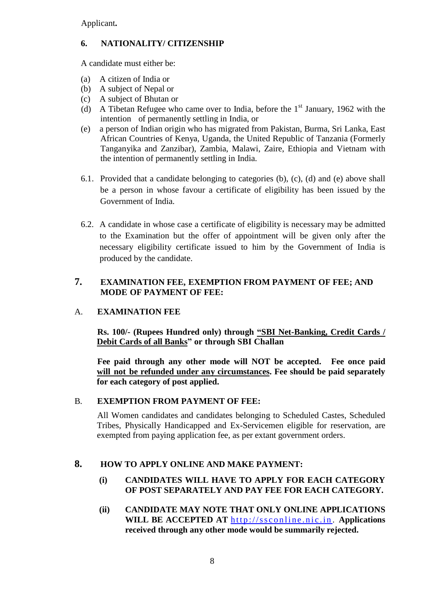Applicant**.**

## **6. NATIONALITY/ CITIZENSHIP**

A candidate must either be:

- (a) A citizen of India or
- (b) A subject of Nepal or
- (c) A subject of Bhutan or
- (d) A Tibetan Refugee who came over to India, before the  $1<sup>st</sup>$  January, 1962 with the intention of permanently settling in India, or
- (e) a person of Indian origin who has migrated from Pakistan, Burma, Sri Lanka, East African Countries of Kenya, Uganda, the United Republic of Tanzania (Formerly Tanganyika and Zanzibar), Zambia, Malawi, Zaire, Ethiopia and Vietnam with the intention of permanently settling in India.
- 6.1. Provided that a candidate belonging to categories (b), (c), (d) and (e) above shall be a person in whose favour a certificate of eligibility has been issued by the Government of India.
- 6.2. A candidate in whose case a certificate of eligibility is necessary may be admitted to the Examination but the offer of appointment will be given only after the necessary eligibility certificate issued to him by the Government of India is produced by the candidate.

## **7. EXAMINATION FEE, EXEMPTION FROM PAYMENT OF FEE; AND MODE OF PAYMENT OF FEE:**

## A. **EXAMINATION FEE**

**Rs. 100/- (Rupees Hundred only) through "SBI Net-Banking, Credit Cards / Debit Cards of all Banks" or through SBI Challan**

**Fee paid through any other mode will NOT be accepted. Fee once paid will not be refunded under any circumstances. Fee should be paid separately for each category of post applied.**

## B. **EXEMPTION FROM PAYMENT OF FEE:**

All Women candidates and candidates belonging to Scheduled Castes, Scheduled Tribes, Physically Handicapped and Ex-Servicemen eligible for reservation, are exempted from paying application fee, as per extant government orders.

## **8. HOW TO APPLY ONLINE AND MAKE PAYMENT:**

## **(i) CANDIDATES WILL HAVE TO APPLY FOR EACH CATEGORY OF POST SEPARATELY AND PAY FEE FOR EACH CATEGORY.**

**(ii) CANDIDATE MAY NOTE THAT ONLY ONLINE APPLICATIONS WILL BE ACCEPTED AT http://ssconline.nic.in. Applications received through any other mode would be summarily rejected.**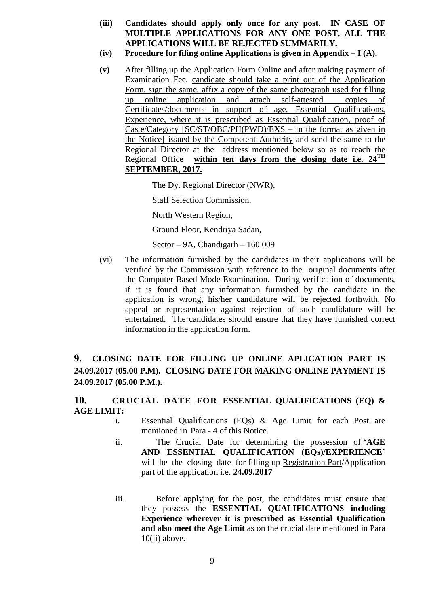- **(iii) Candidates should apply only once for any post. IN CASE OF MULTIPLE APPLICATIONS FOR ANY ONE POST, ALL THE APPLICATIONS WILL BE REJECTED SUMMARILY.**
- **(iv) Procedure for filing online Applications is given in Appendix – I (A).**
- **(v)** After filling up the Application Form Online and after making payment of Examination Fee, candidate should take a print out of the Application Form, sign the same, affix a copy of the same photograph used for filling up online application and attach self-attested copies of Certificates/documents in support of age, Essential Qualifications, Experience, where it is prescribed as Essential Qualification, proof of Caste/Category [SC/ST/OBC/PH(PWD)/EXS – in the format as given in the Notice] issued by the Competent Authority and send the same to the Regional Director at the address mentioned below so as to reach the Regional Office **within ten days from the closing date i.e. 24TH SEPTEMBER, 2017.**

The Dy. Regional Director (NWR),

Staff Selection Commission,

North Western Region,

Ground Floor, Kendriya Sadan,

Sector – 9A, Chandigarh – 160 009

(vi) The information furnished by the candidates in their applications will be verified by the Commission with reference to the original documents after the Computer Based Mode Examination. During verification of documents, if it is found that any information furnished by the candidate in the application is wrong, his/her candidature will be rejected forthwith. No appeal or representation against rejection of such candidature will be entertained. The candidates should ensure that they have furnished correct information in the application form.

## **9. CLOSING DATE FOR FILLING UP ONLINE APLICATION PART IS 24.09.2017** (**05.00 P.M). CLOSING DATE FOR MAKING ONLINE PAYMENT IS 24.09.2017 (05.00 P.M.).**

## **10. CRUCIAL DATE FOR ESSENTIAL QUALIFICATIONS (EQ) & AGE LIMIT:**

- i. Essential Qualifications (EQs) & Age Limit for each Post are mentioned in Para - 4 of this Notice.
- ii. The Crucial Date for determining the possession of '**AGE AND ESSENTIAL QUALIFICATION (EQs)/EXPERIENCE**' will be the closing date for filling up Registration Part/Application part of the application i.e. **24.09.2017**
- iii. Before applying for the post, the candidates must ensure that they possess the **ESSENTIAL QUALIFICATIONS including Experience wherever it is prescribed as Essential Qualification and also meet the Age Limit** as on the crucial date mentioned in Para 10(ii) above.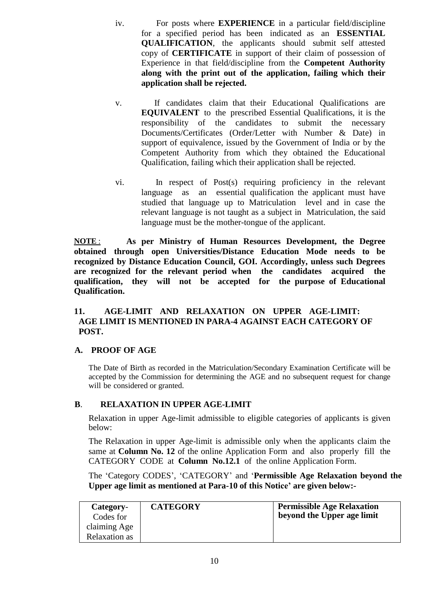- iv. For posts where **EXPERIENCE** in a particular field/discipline for a specified period has been indicated as an **ESSENTIAL QUALIFICATION**, the applicants should submit self attested copy of **CERTIFICATE** in support of their claim of possession of Experience in that field/discipline from the **Competent Authority along with the print out of the application, failing which their application shall be rejected.**
- v.If candidates claim that their Educational Qualifications are **EQUIVALENT** to the prescribed Essential Qualifications, it is the responsibility of the candidates to submit the necessary Documents/Certificates (Order/Letter with Number & Date) in support of equivalence, issued by the Government of India or by the Competent Authority from which they obtained the Educational Qualification, failing which their application shall be rejected.
- vi. In respect of Post(s) requiring proficiency in the relevant language as an essential qualification the applicant must have studied that language up to Matriculation level and in case the relevant language is not taught as a subject in Matriculation, the said language must be the mother-tongue of the applicant.

**NOTE** : **As per Ministry of Human Resources Development, the Degree obtained through open Universities/Distance Education Mode needs to be recognized by Distance Education Council, GOI. Accordingly, unless such Degrees are recognized for the relevant period when the candidates acquired the qualification, they will not be accepted for the purpose of Educational Qualification.**

## **11. AGE-LIMIT AND RELAXATION ON UPPER AGE-LIMIT: AGE LIMIT IS MENTIONED IN PARA-4 AGAINST EACH CATEGORY OF POST.**

## **A. PROOF OF AGE**

The Date of Birth as recorded in the Matriculation/Secondary Examination Certificate will be accepted by the Commission for determining the AGE and no subsequent request for change will be considered or granted.

## **B**. **RELAXATION IN UPPER AGE-LIMIT**

Relaxation in upper Age-limit admissible to eligible categories of applicants is given below:

The Relaxation in upper Age-limit is admissible only when the applicants claim the same at **Column No. 12** of the online Application Form and also properly fill the CATEGORY CODE at **Column No.12.1** of the online Application Form.

The 'Category CODES', 'CATEGORY' and '**Permissible Age Relaxation beyond the Upper age limit as mentioned at Para-10 of this Notice" are given below:-**

| Category-<br>Codes for<br>claiming Age | <b>CATEGORY</b> | <b>Permissible Age Relaxation</b><br>beyond the Upper age limit |
|----------------------------------------|-----------------|-----------------------------------------------------------------|
| Relaxation as                          |                 |                                                                 |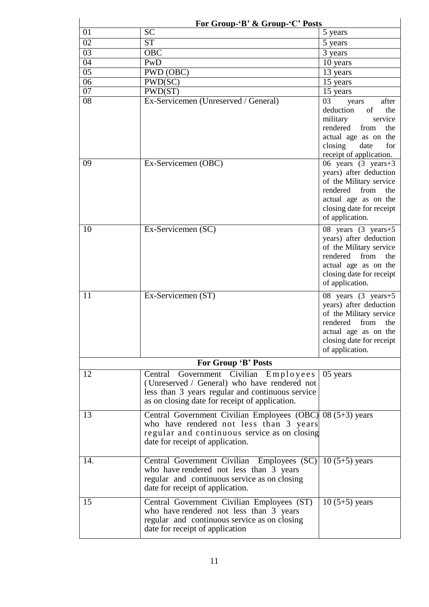|     | For Group-'B' & Group-'C' Posts                                                                                                                                                             |                                                                                                                                                                                         |  |  |  |  |  |
|-----|---------------------------------------------------------------------------------------------------------------------------------------------------------------------------------------------|-----------------------------------------------------------------------------------------------------------------------------------------------------------------------------------------|--|--|--|--|--|
| 01  | <b>SC</b>                                                                                                                                                                                   | 5 years                                                                                                                                                                                 |  |  |  |  |  |
| 02  | <b>ST</b>                                                                                                                                                                                   | 5 years                                                                                                                                                                                 |  |  |  |  |  |
| 03  | <b>OBC</b>                                                                                                                                                                                  | 3 years                                                                                                                                                                                 |  |  |  |  |  |
| 04  | PwD                                                                                                                                                                                         | 10 years                                                                                                                                                                                |  |  |  |  |  |
| 05  | PWD (OBC)                                                                                                                                                                                   | 13 years                                                                                                                                                                                |  |  |  |  |  |
| 06  | PWD(SC)                                                                                                                                                                                     | 15 years                                                                                                                                                                                |  |  |  |  |  |
| 07  | PWD(ST)                                                                                                                                                                                     | 15 years                                                                                                                                                                                |  |  |  |  |  |
| 08  | Ex-Servicemen (Unreserved / General)                                                                                                                                                        | after<br>03<br>years<br>deduction<br>the<br>of<br>military<br>service<br>rendered<br>from<br>the<br>actual age as on the<br>closing<br>date<br>for<br>receipt of application.           |  |  |  |  |  |
| 09  | Ex-Servicemen (OBC)                                                                                                                                                                         | 06 years $(3 \text{ years} + 3)$<br>years) after deduction<br>of the Military service<br>rendered from<br>the<br>actual age as on the<br>closing date for receipt<br>of application.    |  |  |  |  |  |
| 10  | Ex-Servicemen (SC)                                                                                                                                                                          | 08 years (3 years +5<br>years) after deduction<br>of the Military service<br>rendered from<br>the<br>actual age as on the<br>closing date for receipt<br>of application.                |  |  |  |  |  |
| 11  | Ex-Servicemen (ST)                                                                                                                                                                          | 08 years $(3 \text{ years} + 5)$<br>years) after deduction<br>of the Military service<br>rendered<br>from<br>the<br>actual age as on the<br>closing date for receipt<br>of application. |  |  |  |  |  |
|     | For Group 'B' Posts                                                                                                                                                                         |                                                                                                                                                                                         |  |  |  |  |  |
| 12  | Central Government Civilian Employees<br>(Unreserved / General) who have rendered not<br>less than 3 years regular and continuous service<br>as on closing date for receipt of application. | 05 years                                                                                                                                                                                |  |  |  |  |  |
| 13  | Central Government Civilian Employees $(OBC)$ 08 (5+3) years<br>who have rendered not less than 3 years<br>regular and continuous service as on closing<br>date for receipt of application. |                                                                                                                                                                                         |  |  |  |  |  |
| 14. | Central Government Civilian Employees (SC)<br>who have rendered not less than 3 years<br>regular and continuous service as on closing<br>date for receipt of application.                   | $10(5+5)$ years                                                                                                                                                                         |  |  |  |  |  |
| 15  | Central Government Civilian Employees (ST)<br>who have rendered not less than 3 years<br>regular and continuous service as on closing<br>date for receipt of application                    | $10(5+5)$ years                                                                                                                                                                         |  |  |  |  |  |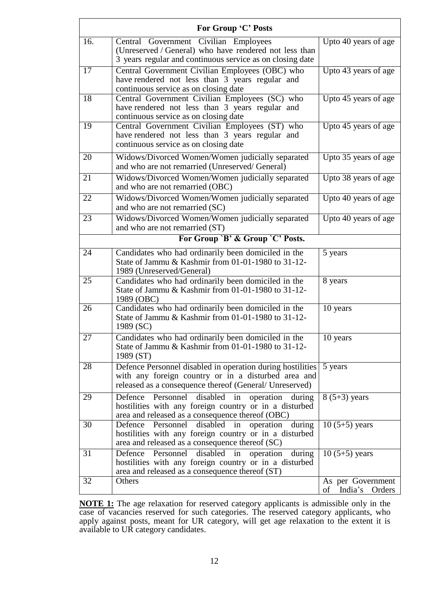|     | For Group 'C' Posts                                                                                                                                                          |                                              |  |  |  |  |  |
|-----|------------------------------------------------------------------------------------------------------------------------------------------------------------------------------|----------------------------------------------|--|--|--|--|--|
| 16. | Central Government Civilian Employees<br>(Unreserved / General) who have rendered not less than<br>3 years regular and continuous service as on closing date                 | Upto 40 years of age                         |  |  |  |  |  |
| 17  | Central Government Civilian Employees (OBC) who<br>have rendered not less than 3 years regular and<br>continuous service as on closing date                                  | Upto 43 years of age                         |  |  |  |  |  |
| 18  | Central Government Civilian Employees (SC) who<br>have rendered not less than 3 years regular and<br>continuous service as on closing date                                   | Upto 45 years of age                         |  |  |  |  |  |
| 19  | Central Government Civilian Employees (ST) who<br>have rendered not less than 3 years regular and<br>continuous service as on closing date                                   | Upto 45 years of age                         |  |  |  |  |  |
| 20  | Widows/Divorced Women/Women judicially separated<br>and who are not remarried (Unreserved/General)                                                                           | Upto 35 years of age                         |  |  |  |  |  |
| 21  | Widows/Divorced Women/Women judicially separated<br>and who are not remarried (OBC)                                                                                          | Upto 38 years of age                         |  |  |  |  |  |
| 22  | Widows/Divorced Women/Women judicially separated<br>and who are not remarried (SC)                                                                                           | Upto 40 years of age                         |  |  |  |  |  |
| 23  | Widows/Divorced Women/Women judicially separated<br>and who are not remarried (ST)                                                                                           | Upto 40 years of age                         |  |  |  |  |  |
|     | For Group `B' & Group `C' Posts.                                                                                                                                             |                                              |  |  |  |  |  |
| 24  | Candidates who had ordinarily been domiciled in the<br>State of Jammu & Kashmir from 01-01-1980 to 31-12-<br>1989 (Unreserved/General)                                       | 5 years                                      |  |  |  |  |  |
| 25  | Candidates who had ordinarily been domiciled in the<br>State of Jammu & Kashmir from 01-01-1980 to 31-12-<br>1989 (OBC)                                                      | 8 years                                      |  |  |  |  |  |
| 26  | Candidates who had ordinarily been domiciled in the<br>State of Jammu & Kashmir from 01-01-1980 to 31-12-<br>1989 (SC)                                                       | 10 years                                     |  |  |  |  |  |
| 27  | Candidates who had ordinarily been domiciled in the<br>State of Jammu & Kashmir from 01-01-1980 to 31-12-<br>1989 (ST)                                                       | 10 years                                     |  |  |  |  |  |
| 28  | Defence Personnel disabled in operation during hostilities<br>with any foreign country or in a disturbed area and<br>released as a consequence thereof (General/ Unreserved) | 5 years                                      |  |  |  |  |  |
| 29  | Personnel<br>disabled<br>Defence<br>in<br>operation during<br>hostilities with any foreign country or in a disturbed<br>area and released as a consequence thereof (OBC)     | $8(5+3)$ years                               |  |  |  |  |  |
| 30  | Defence<br>disabled<br>Personnel<br>operation<br>during<br>in<br>hostilities with any foreign country or in a disturbed<br>area and released as a consequence thereof (SC)   | $10(5+5)$ years                              |  |  |  |  |  |
| 31  | disabled in<br>Defence Personnel<br>operation<br>during<br>hostilities with any foreign country or in a disturbed<br>area and released as a consequence thereof (ST)         | $10(5+5)$ years                              |  |  |  |  |  |
| 32  | Others                                                                                                                                                                       | As per Government<br>India's<br>Orders<br>οf |  |  |  |  |  |

 $\frac{1}{2}$  is the time that the theory is the theory is the theory in the theory is the three to the three three to the three three three three three three three three three three three three three three three three three **NOTE 1:** The age relaxation for reserved category applicants is admissible only in the case of vecession reserved for such extensive. The reserved extensive uphonts, who case of vacancies reserved for such categories. The reserved category applicants, who apply against posts, meant for UR category, will get age relaxation to the extent it is available to UR category candidates.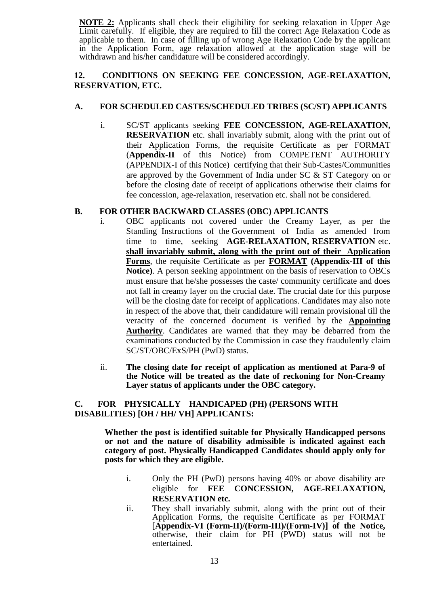**NOTE 2:** Applicants shall check their eligibility for seeking relaxation in Upper Age Limit carefully. If eligible, they are required to fill the correct Age Relaxation Code as applicable to them. In case of filling up of wrong Age Relaxation Code by the applicant in the Application Form, age relaxation allowed at the application stage will be withdrawn and his/her candidature will be considered accordingly.

### **12. CONDITIONS ON SEEKING FEE CONCESSION, AGE-RELAXATION, RESERVATION, ETC.**

#### **A. FOR SCHEDULED CASTES/SCHEDULED TRIBES (SC/ST) APPLICANTS**

i. SC/ST applicants seeking **FEE CONCESSION, AGE-RELAXATION, RESERVATION** etc. shall invariably submit, along with the print out of their Application Forms, the requisite Certificate as per FORMAT (**Appendix-II** of this Notice) from COMPETENT AUTHORITY (APPENDIX-I of this Notice) certifying that their Sub-Castes/Communities are approved by the Government of India under SC & ST Category on or before the closing date of receipt of applications otherwise their claims for fee concession, age-relaxation, reservation etc. shall not be considered.

#### **B. FOR OTHER BACKWARD CLASSES (OBC) APPLICANTS**

- i. OBC applicants not covered under the Creamy Layer, as per the Standing Instructions of the Government of India as amended from time to time, seeking **AGE-RELAXATION, RESERVATION** etc. **shall invariably submit, along with the print out of their Application Forms**, the requisite Certificate as per **FORMAT (Appendix-III of this Notice)**. A person seeking appointment on the basis of reservation to OBCs must ensure that he/she possesses the caste/ community certificate and does not fall in creamy layer on the crucial date. The crucial date for this purpose will be the closing date for receipt of applications. Candidates may also note in respect of the above that, their candidature will remain provisional till the veracity of the concerned document is verified by the **Appointing Authority**. Candidates are warned that they may be debarred from the examinations conducted by the Commission in case they fraudulently claim SC/ST/OBC/ExS/PH (PwD) status.
- ii. **The closing date for receipt of application as mentioned at Para-9 of the Notice will be treated as the date of reckoning for Non-Creamy Layer status of applicants under the OBC category.**

#### **C. FOR PHYSICALLY HANDICAPED (PH) (PERSONS WITH DISABILITIES) [OH / HH/ VH] APPLICANTS:**

**Whether the post is identified suitable for Physically Handicapped persons or not and the nature of disability admissible is indicated against each category of post. Physically Handicapped Candidates should apply only for posts for which they are eligible.**

- i. Only the PH (PwD) persons having 40% or above disability are eligible for **FEE CONCESSION, AGE-RELAXATION, RESERVATION etc.**
- ii. They shall invariably submit, along with the print out of their Application Forms, the requisite Certificate as per FORMAT [**Appendix-VI (Form-II)/(Form-III)/(Form-IV)] of the Notice,** otherwise, their claim for PH (PWD) status will not be entertained.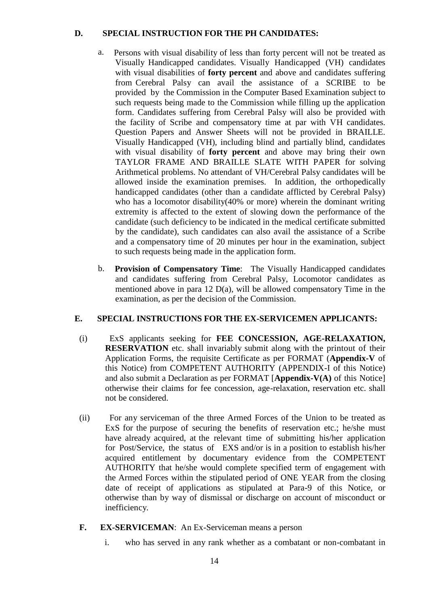## **D. SPECIAL INSTRUCTION FOR THE PH CANDIDATES:**

- a. Persons with visual disability of less than forty percent will not be treated as Visually Handicapped candidates. Visually Handicapped (VH) candidates with visual disabilities of **forty percent** and above and candidates suffering from Cerebral Palsy can avail the assistance of a SCRIBE to be provided by the Commission in the Computer Based Examination subject to such requests being made to the Commission while filling up the application form. Candidates suffering from Cerebral Palsy will also be provided with the facility of Scribe and compensatory time at par with VH candidates. Question Papers and Answer Sheets will not be provided in BRAILLE. Visually Handicapped (VH), including blind and partially blind, candidates with visual disability of **forty percent** and above may bring their own TAYLOR FRAME AND BRAILLE SLATE WITH PAPER for solving Arithmetical problems. No attendant of VH/Cerebral Palsy candidates will be allowed inside the examination premises. In addition, the orthopedically handicapped candidates (other than a candidate afflicted by Cerebral Palsy) who has a locomotor disability(40% or more) wherein the dominant writing extremity is affected to the extent of slowing down the performance of the candidate (such deficiency to be indicated in the medical certificate submitted by the candidate), such candidates can also avail the assistance of a Scribe and a compensatory time of 20 minutes per hour in the examination, subject to such requests being made in the application form.
- b. **Provision of Compensatory Time**: The Visually Handicapped candidates and candidates suffering from Cerebral Palsy, Locomotor candidates as mentioned above in para 12  $D(a)$ , will be allowed compensatory Time in the examination, as per the decision of the Commission.

## **E. SPECIAL INSTRUCTIONS FOR THE EX-SERVICEMEN APPLICANTS:**

- (i) ExS applicants seeking for **FEE CONCESSION, AGE-RELAXATION, RESERVATION** etc. shall invariably submit along with the printout of their Application Forms, the requisite Certificate as per FORMAT (**Appendix-V** of this Notice) from COMPETENT AUTHORITY (APPENDIX-I of this Notice) and also submit a Declaration as per FORMAT [**Appendix-V(A)** of this Notice] otherwise their claims for fee concession, age-relaxation, reservation etc. shall not be considered.
- (ii) For any serviceman of the three Armed Forces of the Union to be treated as ExS for the purpose of securing the benefits of reservation etc.; he/she must have already acquired, at the relevant time of submitting his/her application for Post/Service, the status of EXS and/or is in a position to establish his/her acquired entitlement by documentary evidence from the COMPETENT AUTHORITY that he/she would complete specified term of engagement with the Armed Forces within the stipulated period of ONE YEAR from the closing date of receipt of applications as stipulated at Para-9 of this Notice, or otherwise than by way of dismissal or discharge on account of misconduct or inefficiency.
- **F. EX-SERVICEMAN**: An Ex-Serviceman means a person
	- i. who has served in any rank whether as a combatant or non-combatant in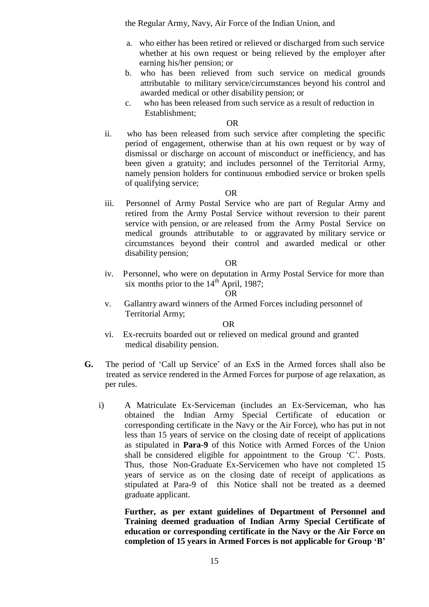the Regular Army, Navy, Air Force of the Indian Union, and

- a. who either has been retired or relieved or discharged from such service whether at his own request or being relieved by the employer after earning his/her pension; or
- b. who has been relieved from such service on medical grounds attributable to military service/circumstances beyond his control and awarded medical or other disability pension; or
- c. who has been released from such service as a result of reduction in Establishment;

OR

ii. who has been released from such service after completing the specific period of engagement, otherwise than at his own request or by way of dismissal or discharge on account of misconduct or inefficiency, and has been given a gratuity; and includes personnel of the Territorial Army, namely pension holders for continuous embodied service or broken spells of qualifying service;

#### OR

iii. Personnel of Army Postal Service who are part of Regular Army and retired from the Army Postal Service without reversion to their parent service with pension, or are released from the Army Postal Service on medical grounds attributable to or aggravated by military service or circumstances beyond their control and awarded medical or other disability pension;

#### OR

iv. Personnel, who were on deputation in Army Postal Service for more than six months prior to the  $14<sup>th</sup>$  April, 1987;

#### OR

v. Gallantry award winners of the Armed Forces including personnel of Territorial Army;

#### OR

- vi. Ex-recruits boarded out or relieved on medical ground and granted medical disability pension.
- **G.** The period of 'Call up Service' of an ExS in the Armed forces shall also be treated as service rendered in the Armed Forces for purpose of age relaxation, as per rules.
	- i) A Matriculate Ex-Serviceman (includes an Ex-Serviceman, who has obtained the Indian Army Special Certificate of education or corresponding certificate in the Navy or the Air Force), who has put in not less than 15 years of service on the closing date of receipt of applications as stipulated in **Para-9** of this Notice with Armed Forces of the Union shall be considered eligible for appointment to the Group 'C'. Posts. Thus, those Non-Graduate Ex-Servicemen who have not completed 15 years of service as on the closing date of receipt of applications as stipulated at Para-9 of this Notice shall not be treated as a deemed graduate applicant.

**Further, as per extant guidelines of Department of Personnel and Training deemed graduation of Indian Army Special Certificate of education or corresponding certificate in the Navy or the Air Force on completion of 15 years in Armed Forces is not applicable for Group "B"**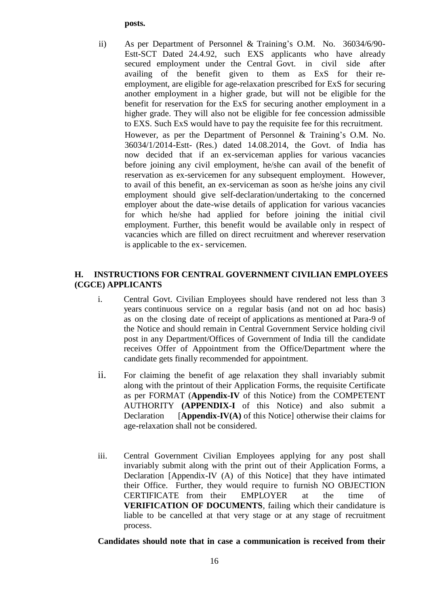#### **posts.**

ii) As per Department of Personnel & Training's O.M. No. 36034/6/90- Estt-SCT Dated 24.4.92, such EXS applicants who have already secured employment under the Central Govt. in civil side after availing of the benefit given to them as ExS for their reemployment, are eligible for age-relaxation prescribed for ExS for securing another employment in a higher grade, but will not be eligible for the benefit for reservation for the ExS for securing another employment in a higher grade. They will also not be eligible for fee concession admissible to EXS. Such ExS would have to pay the requisite fee for this recruitment. However, as per the Department of Personnel & Training's O.M. No. 36034/1/2014-Estt- (Res.) dated 14.08.2014, the Govt. of India has now decided that if an ex-serviceman applies for various vacancies before joining any civil employment, he/she can avail of the benefit of reservation as ex-servicemen for any subsequent employment. However, to avail of this benefit, an ex-serviceman as soon as he/she joins any civil employment should give self-declaration/undertaking to the concerned employer about the date-wise details of application for various vacancies for which he/she had applied for before joining the initial civil employment. Further, this benefit would be available only in respect of vacancies which are filled on direct recruitment and wherever reservation is applicable to the ex- servicemen.

## **H. INSTRUCTIONS FOR CENTRAL GOVERNMENT CIVILIAN EMPLOYEES (CGCE) APPLICANTS**

- i. Central Govt. Civilian Employees should have rendered not less than 3 years continuous service on a regular basis (and not on ad hoc basis) as on the closing date of receipt of applications as mentioned at Para-9 of the Notice and should remain in Central Government Service holding civil post in any Department/Offices of Government of India till the candidate receives Offer of Appointment from the Office/Department where the candidate gets finally recommended for appointment.
- ii. For claiming the benefit of age relaxation they shall invariably submit along with the printout of their Application Forms, the requisite Certificate as per FORMAT (**Appendix-IV** of this Notice) from the COMPETENT AUTHORITY **(APPENDIX-I** of this Notice) and also submit a Declaration [**Appendix-IV(A)** of this Notice] otherwise their claims for age-relaxation shall not be considered.
- iii. Central Government Civilian Employees applying for any post shall invariably submit along with the print out of their Application Forms, a Declaration [Appendix-IV (A) of this Notice] that they have intimated their Office. Further, they would require to furnish NO OBJECTION CERTIFICATE from their EMPLOYER at the time of **VERIFICATION OF DOCUMENTS**, failing which their candidature is liable to be cancelled at that very stage or at any stage of recruitment process.

#### **Candidates should note that in case a communication is received from their**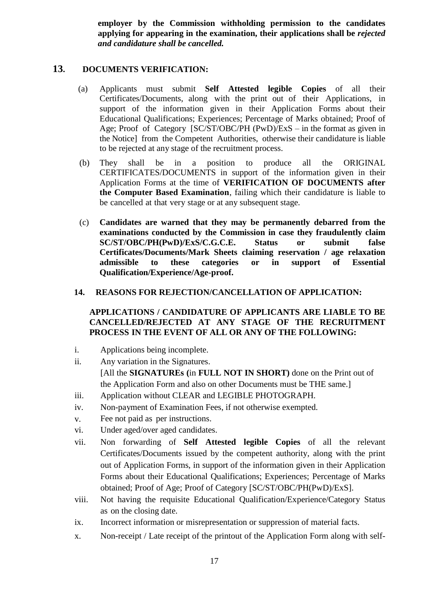**employer by the Commission withholding permission to the candidates applying for appearing in the examination, their applications shall be** *rejected and candidature shall be cancelled.*

#### **13. DOCUMENTS VERIFICATION:**

- (a) Applicants must submit **Self Attested legible Copies** of all their Certificates/Documents, along with the print out of their Applications, in support of the information given in their Application Forms about their Educational Qualifications; Experiences; Percentage of Marks obtained; Proof of Age; Proof of Category [SC/ST/OBC/PH (PwD)/ExS – in the format as given in the Notice] from the Competent Authorities, otherwise their candidature is liable to be rejected at any stage of the recruitment process.
- (b) They shall be in a position to produce all the ORIGINAL CERTIFICATES/DOCUMENTS in support of the information given in their Application Forms at the time of **VERIFICATION OF DOCUMENTS after the Computer Based Examination**, failing which their candidature is liable to be cancelled at that very stage or at any subsequent stage.
- (c) **Candidates are warned that they may be permanently debarred from the examinations conducted by the Commission in case they fraudulently claim SC/ST/OBC/PH(PwD)/ExS/C.G.C.E. Status or submit false Certificates/Documents/Mark Sheets claiming reservation / age relaxation admissible to these categories or in support of Essential Qualification/Experience/Age-proof.**

#### **14. REASONS FOR REJECTION/CANCELLATION OF APPLICATION:**

## **APPLICATIONS / CANDIDATURE OF APPLICANTS ARE LIABLE TO BE CANCELLED/REJECTED AT ANY STAGE OF THE RECRUITMENT PROCESS IN THE EVENT OF ALL OR ANY OF THE FOLLOWING:**

- i. Applications being incomplete.
- ii. Any variation in the Signatures. [All the **SIGNATUREs (**in **FULL NOT IN SHORT)** done on the Print out of the Application Form and also on other Documents must be THE same.]
- iii. Application without CLEAR and LEGIBLE PHOTOGRAPH.
- iv. Non-payment of Examination Fees, if not otherwise exempted.
- v. Fee not paid as per instructions.
- vi. Under aged/over aged candidates.
- vii. Non forwarding of **Self Attested legible Copies** of all the relevant Certificates/Documents issued by the competent authority, along with the print out of Application Forms, in support of the information given in their Application Forms about their Educational Qualifications; Experiences; Percentage of Marks obtained; Proof of Age; Proof of Category [SC/ST/OBC/PH(PwD)/ExS].
- viii. Not having the requisite Educational Qualification/Experience/Category Status as on the closing date.
- ix. Incorrect information or misrepresentation or suppression of material facts.
- x. Non-receipt / Late receipt of the printout of the Application Form along with self-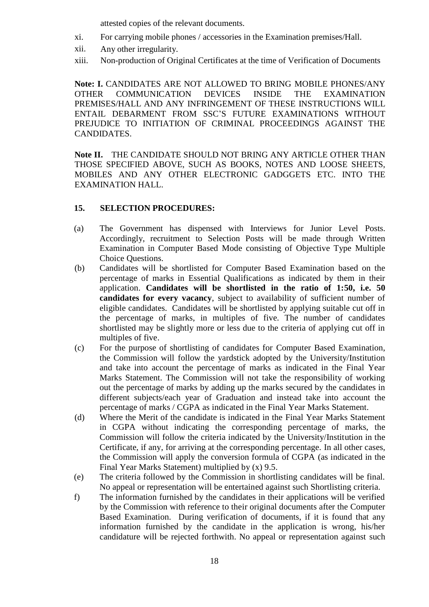attested copies of the relevant documents.

- xi. For carrying mobile phones / accessories in the Examination premises/Hall.
- xii. Any other irregularity.
- xiii. Non-production of Original Certificates at the time of Verification of Documents

**Note: I.** CANDIDATES ARE NOT ALLOWED TO BRING MOBILE PHONES/ANY OTHER COMMUNICATION DEVICES INSIDE THE EXAMINATION PREMISES/HALL AND ANY INFRINGEMENT OF THESE INSTRUCTIONS WILL ENTAIL DEBARMENT FROM SSC'S FUTURE EXAMINATIONS WITHOUT PREJUDICE TO INITIATION OF CRIMINAL PROCEEDINGS AGAINST THE CANDIDATES.

**Note II.** THE CANDIDATE SHOULD NOT BRING ANY ARTICLE OTHER THAN THOSE SPECIFIED ABOVE, SUCH AS BOOKS, NOTES AND LOOSE SHEETS, MOBILES AND ANY OTHER ELECTRONIC GADGGETS ETC. INTO THE EXAMINATION HALL.

#### **15. SELECTION PROCEDURES:**

- (a) The Government has dispensed with Interviews for Junior Level Posts. Accordingly, recruitment to Selection Posts will be made through Written Examination in Computer Based Mode consisting of Objective Type Multiple Choice Questions.
- (b) Candidates will be shortlisted for Computer Based Examination based on the percentage of marks in Essential Qualifications as indicated by them in their application. **Candidates will be shortlisted in the ratio of 1:50, i.e. 50 candidates for every vacancy**, subject to availability of sufficient number of eligible candidates. Candidates will be shortlisted by applying suitable cut off in the percentage of marks, in multiples of five. The number of candidates shortlisted may be slightly more or less due to the criteria of applying cut off in multiples of five.
- (c) For the purpose of shortlisting of candidates for Computer Based Examination, the Commission will follow the yardstick adopted by the University/Institution and take into account the percentage of marks as indicated in the Final Year Marks Statement. The Commission will not take the responsibility of working out the percentage of marks by adding up the marks secured by the candidates in different subjects/each year of Graduation and instead take into account the percentage of marks / CGPA as indicated in the Final Year Marks Statement.
- (d) Where the Merit of the candidate is indicated in the Final Year Marks Statement in CGPA without indicating the corresponding percentage of marks, the Commission will follow the criteria indicated by the University/Institution in the Certificate, if any, for arriving at the corresponding percentage. In all other cases, the Commission will apply the conversion formula of CGPA (as indicated in the Final Year Marks Statement) multiplied by (x) 9.5.
- (e) The criteria followed by the Commission in shortlisting candidates will be final. No appeal or representation will be entertained against such Shortlisting criteria.
- f) The information furnished by the candidates in their applications will be verified by the Commission with reference to their original documents after the Computer Based Examination. During verification of documents, if it is found that any information furnished by the candidate in the application is wrong, his/her candidature will be rejected forthwith. No appeal or representation against such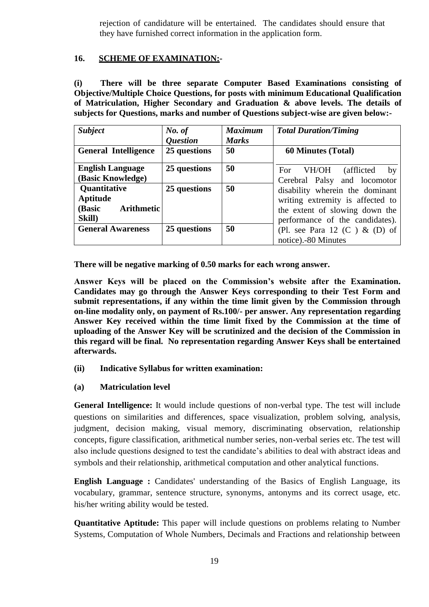rejection of candidature will be entertained. The candidates should ensure that they have furnished correct information in the application form.

## **16. SCHEME OF EXAMINATION:-**

**(i) There will be three separate Computer Based Examinations consisting of Objective/Multiple Choice Questions, for posts with minimum Educational Qualification of Matriculation, Higher Secondary and Graduation & above levels. The details of subjects for Questions, marks and number of Questions subject-wise are given below:-**

| <b>Subject</b>                                             | No. of<br><i><b>Question</b></i> | <b>Maximum</b><br><b>Marks</b> | <b>Total Duration/Timing</b>                                                                                                             |
|------------------------------------------------------------|----------------------------------|--------------------------------|------------------------------------------------------------------------------------------------------------------------------------------|
| <b>General Intelligence</b>                                | 25 questions                     | 50                             | <b>60 Minutes (Total)</b>                                                                                                                |
| <b>English Language</b><br>(Basic Knowledge)               | 25 questions                     | 50                             | VH/OH<br>(afflicted)<br>For<br>by<br>Cerebral Palsy and locomotor                                                                        |
| Quantitative<br>Aptitude<br>(Basic<br>Arithmetic<br>Skill) | 25 questions                     | 50                             | disability wherein the dominant<br>writing extremity is affected to<br>the extent of slowing down the<br>performance of the candidates). |
| <b>General Awareness</b>                                   | 25 questions                     | 50                             | (Pl. see Para 12 $(C)$ & $(D)$ of<br>notice).-80 Minutes                                                                                 |

**There will be negative marking of 0.50 marks for each wrong answer.** 

**Answer Keys will be placed on the Commission"s website after the Examination. Candidates may go through the Answer Keys corresponding to their Test Form and submit representations, if any within the time limit given by the Commission through on-line modality only, on payment of Rs.100/- per answer. Any representation regarding Answer Key received within the time limit fixed by the Commission at the time of uploading of the Answer Key will be scrutinized and the decision of the Commission in this regard will be final. No representation regarding Answer Keys shall be entertained afterwards.**

- **(ii) Indicative Syllabus for written examination:**
- **(a) Matriculation level**

**General Intelligence:** It would include questions of non-verbal type. The test will include questions on similarities and differences, space visualization, problem solving, analysis, judgment, decision making, visual memory, discriminating observation, relationship concepts, figure classification, arithmetical number series, non-verbal series etc. The test will also include questions designed to test the candidate's abilities to deal with abstract ideas and symbols and their relationship, arithmetical computation and other analytical functions.

**English Language :** Candidates' understanding of the Basics of English Language, its vocabulary, grammar, sentence structure, synonyms, antonyms and its correct usage, etc. his/her writing ability would be tested.

**Quantitative Aptitude:** This paper will include questions on problems relating to Number Systems, Computation of Whole Numbers, Decimals and Fractions and relationship between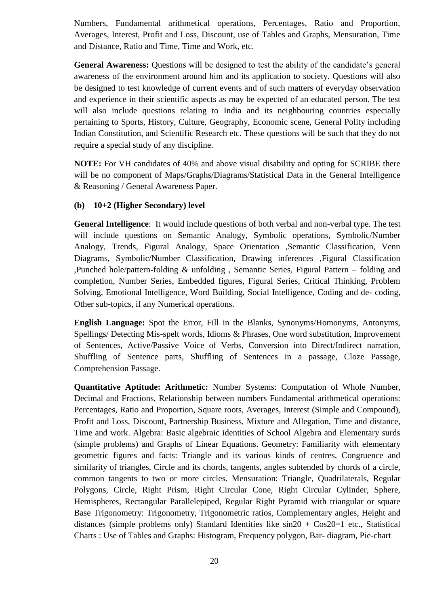Numbers, Fundamental arithmetical operations, Percentages, Ratio and Proportion, Averages, Interest, Profit and Loss, Discount, use of Tables and Graphs, Mensuration, Time and Distance, Ratio and Time, Time and Work, etc.

**General Awareness:** Questions will be designed to test the ability of the candidate's general awareness of the environment around him and its application to society. Questions will also be designed to test knowledge of current events and of such matters of everyday observation and experience in their scientific aspects as may be expected of an educated person. The test will also include questions relating to India and its neighbouring countries especially pertaining to Sports, History, Culture, Geography, Economic scene, General Polity including Indian Constitution, and Scientific Research etc. These questions will be such that they do not require a special study of any discipline.

**NOTE:** For VH candidates of 40% and above visual disability and opting for SCRIBE there will be no component of Maps/Graphs/Diagrams/Statistical Data in the General Intelligence & Reasoning / General Awareness Paper.

#### **(b) 10+2 (Higher Secondary) level**

**General Intelligence**: It would include questions of both verbal and non-verbal type. The test will include questions on Semantic Analogy, Symbolic operations, Symbolic/Number Analogy, Trends, Figural Analogy, Space Orientation ,Semantic Classification, Venn Diagrams, Symbolic/Number Classification, Drawing inferences ,Figural Classification ,Punched hole/pattern-folding & unfolding , Semantic Series, Figural Pattern – folding and completion, Number Series, Embedded figures, Figural Series, Critical Thinking, Problem Solving, Emotional Intelligence, Word Building, Social Intelligence, Coding and de- coding, Other sub-topics, if any Numerical operations.

**English Language:** Spot the Error, Fill in the Blanks, Synonyms/Homonyms, Antonyms, Spellings/ Detecting Mis-spelt words, Idioms & Phrases, One word substitution, Improvement of Sentences, Active/Passive Voice of Verbs, Conversion into Direct/Indirect narration, Shuffling of Sentence parts, Shuffling of Sentences in a passage, Cloze Passage, Comprehension Passage.

**Quantitative Aptitude: Arithmetic:** Number Systems: Computation of Whole Number, Decimal and Fractions, Relationship between numbers Fundamental arithmetical operations: Percentages, Ratio and Proportion, Square roots, Averages, Interest (Simple and Compound), Profit and Loss, Discount, Partnership Business, Mixture and Allegation, Time and distance, Time and work. Algebra: Basic algebraic identities of School Algebra and Elementary surds (simple problems) and Graphs of Linear Equations. Geometry: Familiarity with elementary geometric figures and facts: Triangle and its various kinds of centres, Congruence and similarity of triangles, Circle and its chords, tangents, angles subtended by chords of a circle, common tangents to two or more circles. Mensuration: Triangle, Quadrilaterals, Regular Polygons, Circle, Right Prism, Right Circular Cone, Right Circular Cylinder, Sphere, Hemispheres, Rectangular Parallelepiped, Regular Right Pyramid with triangular or square Base Trigonometry: Trigonometry, Trigonometric ratios, Complementary angles, Height and distances (simple problems only) Standard Identities like  $sin20 + Cos20=1$  etc., Statistical Charts : Use of Tables and Graphs: Histogram, Frequency polygon, Bar- diagram, Pie-chart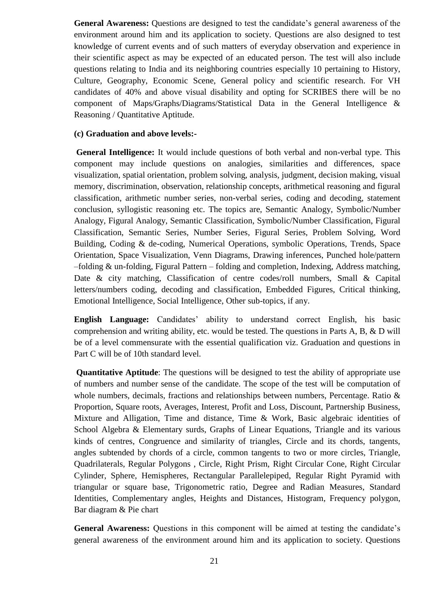**General Awareness:** Questions are designed to test the candidate's general awareness of the environment around him and its application to society. Questions are also designed to test knowledge of current events and of such matters of everyday observation and experience in their scientific aspect as may be expected of an educated person. The test will also include questions relating to India and its neighboring countries especially 10 pertaining to History, Culture, Geography, Economic Scene, General policy and scientific research. For VH candidates of 40% and above visual disability and opting for SCRIBES there will be no component of Maps/Graphs/Diagrams/Statistical Data in the General Intelligence & Reasoning / Quantitative Aptitude.

#### **(c) Graduation and above levels:-**

**General Intelligence:** It would include questions of both verbal and non-verbal type. This component may include questions on analogies, similarities and differences, space visualization, spatial orientation, problem solving, analysis, judgment, decision making, visual memory, discrimination, observation, relationship concepts, arithmetical reasoning and figural classification, arithmetic number series, non-verbal series, coding and decoding, statement conclusion, syllogistic reasoning etc. The topics are, Semantic Analogy, Symbolic/Number Analogy, Figural Analogy, Semantic Classification, Symbolic/Number Classification, Figural Classification, Semantic Series, Number Series, Figural Series, Problem Solving, Word Building, Coding & de-coding, Numerical Operations, symbolic Operations, Trends, Space Orientation, Space Visualization, Venn Diagrams, Drawing inferences, Punched hole/pattern –folding & un-folding, Figural Pattern – folding and completion, Indexing, Address matching, Date & city matching, Classification of centre codes/roll numbers, Small & Capital letters/numbers coding, decoding and classification, Embedded Figures, Critical thinking, Emotional Intelligence, Social Intelligence, Other sub-topics, if any.

**English Language:** Candidates' ability to understand correct English, his basic comprehension and writing ability, etc. would be tested. The questions in Parts A, B, & D will be of a level commensurate with the essential qualification viz. Graduation and questions in Part C will be of 10th standard level.

**Quantitative Aptitude**: The questions will be designed to test the ability of appropriate use of numbers and number sense of the candidate. The scope of the test will be computation of whole numbers, decimals, fractions and relationships between numbers, Percentage. Ratio & Proportion, Square roots, Averages, Interest, Profit and Loss, Discount, Partnership Business, Mixture and Alligation, Time and distance, Time & Work, Basic algebraic identities of School Algebra & Elementary surds, Graphs of Linear Equations, Triangle and its various kinds of centres, Congruence and similarity of triangles, Circle and its chords, tangents, angles subtended by chords of a circle, common tangents to two or more circles, Triangle, Quadrilaterals, Regular Polygons , Circle, Right Prism, Right Circular Cone, Right Circular Cylinder, Sphere, Hemispheres, Rectangular Parallelepiped, Regular Right Pyramid with triangular or square base, Trigonometric ratio, Degree and Radian Measures, Standard Identities, Complementary angles, Heights and Distances, Histogram, Frequency polygon, Bar diagram & Pie chart

**General Awareness:** Questions in this component will be aimed at testing the candidate's general awareness of the environment around him and its application to society. Questions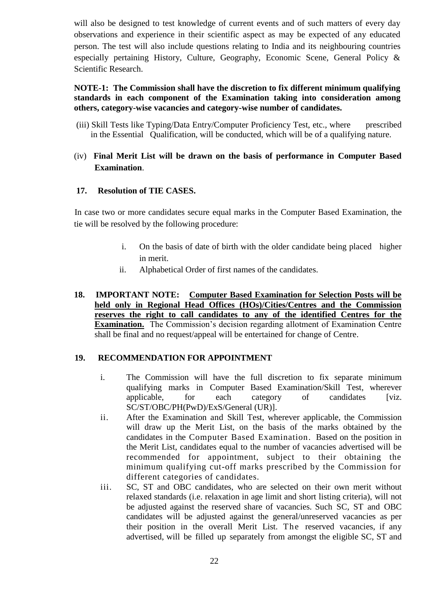will also be designed to test knowledge of current events and of such matters of every day observations and experience in their scientific aspect as may be expected of any educated person. The test will also include questions relating to India and its neighbouring countries especially pertaining History, Culture, Geography, Economic Scene, General Policy & Scientific Research.

### **NOTE-1: The Commission shall have the discretion to fix different minimum qualifying standards in each component of the Examination taking into consideration among others, category-wise vacancies and category-wise number of candidates.**

- (iii) Skill Tests like Typing/Data Entry/Computer Proficiency Test, etc., where prescribed in the Essential Qualification, will be conducted, which will be of a qualifying nature.
- (iv) **Final Merit List will be drawn on the basis of performance in Computer Based Examination**.

#### **17. Resolution of TIE CASES.**

In case two or more candidates secure equal marks in the Computer Based Examination, the tie will be resolved by the following procedure:

- i. On the basis of date of birth with the older candidate being placed higher in merit.
- ii. Alphabetical Order of first names of the candidates.
- **18. IMPORTANT NOTE: Computer Based Examination for Selection Posts will be held only in Regional Head Offices (HOs)/Cities/Centres and the Commission reserves the right to call candidates to any of the identified Centres for the Examination.** The Commission's decision regarding allotment of Examination Centre shall be final and no request/appeal will be entertained for change of Centre.

#### **19. RECOMMENDATION FOR APPOINTMENT**

- i. The Commission will have the full discretion to fix separate minimum qualifying marks in Computer Based Examination/Skill Test, wherever applicable, for each category of candidates [viz. SC/ST/OBC/PH(PwD)/ExS/General (UR)].
- ii. After the Examination and Skill Test, wherever applicable, the Commission will draw up the Merit List, on the basis of the marks obtained by the candidates in the Computer Based Examination. Based on the position in the Merit List, candidates equal to the number of vacancies advertised will be recommended for appointment, subject to their obtaining the minimum qualifying cut-off marks prescribed by the Commission for different categories of candidates.
- iii. SC, ST and OBC candidates, who are selected on their own merit without relaxed standards (i.e. relaxation in age limit and short listing criteria), will not be adjusted against the reserved share of vacancies. Such SC, ST and OBC candidates will be adjusted against the general/unreserved vacancies as per their position in the overall Merit List. The reserved vacancies, if any advertised, will be filled up separately from amongst the eligible SC, ST and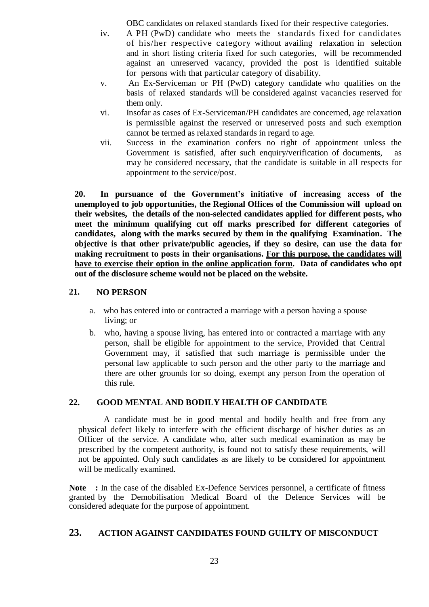OBC candidates on relaxed standards fixed for their respective categories.

- iv. A PH (PwD) candidate who meets the standards fixed for candidates of his/her respective category without availing relaxation in selection and in short listing criteria fixed for such categories, will be recommended against an unreserved vacancy, provided the post is identified suitable for persons with that particular category of disability.
- v. An Ex-Serviceman or PH (PwD) category candidate who qualifies on the basis of relaxed standards will be considered against vacancies reserved for them only.
- vi. Insofar as cases of Ex-Serviceman/PH candidates are concerned, age relaxation is permissible against the reserved or unreserved posts and such exemption cannot be termed as relaxed standards in regard to age.
- vii. Success in the examination confers no right of appointment unless the Government is satisfied, after such enquiry/verification of documents, as may be considered necessary, that the candidate is suitable in all respects for appointment to the service/post.

**20. In pursuance of the Government"s initiative of increasing access of the unemployed to job opportunities, the Regional Offices of the Commission will upload on their websites, the details of the non-selected candidates applied for different posts, who meet the minimum qualifying cut off marks prescribed for different categories of candidates, along with the marks secured by them in the qualifying Examination. The objective is that other private/public agencies, if they so desire, can use the data for making recruitment to posts in their organisations. For this purpose, the candidates will have to exercise their option in the online application form. Data of candidates who opt out of the disclosure scheme would not be placed on the website.**

#### **21. NO PERSON**

- a. who has entered into or contracted a marriage with a person having a spouse living; or
- b. who, having a spouse living, has entered into or contracted a marriage with any person, shall be eligible for appointment to the service, Provided that Central Government may, if satisfied that such marriage is permissible under the personal law applicable to such person and the other party to the marriage and there are other grounds for so doing, exempt any person from the operation of this rule.

## **22. GOOD MENTAL AND BODILY HEALTH OF CANDIDATE**

A candidate must be in good mental and bodily health and free from any physical defect likely to interfere with the efficient discharge of his/her duties as an Officer of the service. A candidate who, after such medical examination as may be prescribed by the competent authority, is found not to satisfy these requirements, will not be appointed. Only such candidates as are likely to be considered for appointment will be medically examined.

Note : In the case of the disabled Ex-Defence Services personnel, a certificate of fitness granted by the Demobilisation Medical Board of the Defence Services will be considered adequate for the purpose of appointment.

## **23. ACTION AGAINST CANDIDATES FOUND GUILTY OF MISCONDUCT**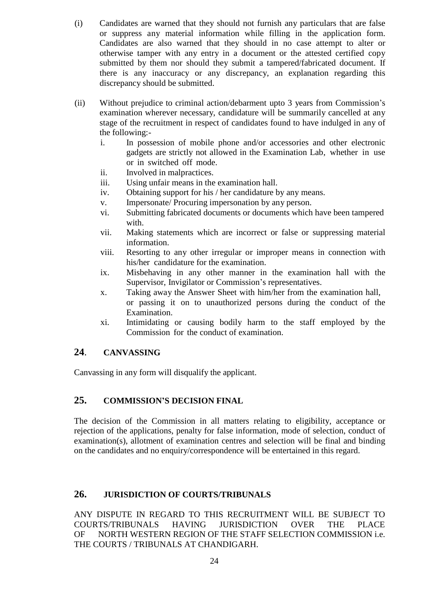- (i) Candidates are warned that they should not furnish any particulars that are false or suppress any material information while filling in the application form. Candidates are also warned that they should in no case attempt to alter or otherwise tamper with any entry in a document or the attested certified copy submitted by them nor should they submit a tampered/fabricated document. If there is any inaccuracy or any discrepancy, an explanation regarding this discrepancy should be submitted.
- (ii) Without prejudice to criminal action/debarment upto 3 years from Commission's examination wherever necessary, candidature will be summarily cancelled at any stage of the recruitment in respect of candidates found to have indulged in any of the following:
	- i. In possession of mobile phone and/or accessories and other electronic gadgets are strictly not allowed in the Examination Lab, whether in use or in switched off mode.
	- ii. Involved in malpractices.
	- iii. Using unfair means in the examination hall.
	- iv. Obtaining support for his / her candidature by any means.
	- v. Impersonate/ Procuring impersonation by any person.
	- vi. Submitting fabricated documents or documents which have been tampered with.
	- vii. Making statements which are incorrect or false or suppressing material information.
	- viii. Resorting to any other irregular or improper means in connection with his/her candidature for the examination.
	- ix. Misbehaving in any other manner in the examination hall with the Supervisor, Invigilator or Commission's representatives.
	- x. Taking away the Answer Sheet with him/her from the examination hall, or passing it on to unauthorized persons during the conduct of the Examination.
	- xi. Intimidating or causing bodily harm to the staff employed by the Commission for the conduct of examination.

## **24**. **CANVASSING**

Canvassing in any form will disqualify the applicant.

## **25. COMMISSION"S DECISION FINAL**

The decision of the Commission in all matters relating to eligibility, acceptance or rejection of the applications, penalty for false information, mode of selection, conduct of examination(s), allotment of examination centres and selection will be final and binding on the candidates and no enquiry/correspondence will be entertained in this regard.

## **26. JURISDICTION OF COURTS/TRIBUNALS**

ANY DISPUTE IN REGARD TO THIS RECRUITMENT WILL BE SUBJECT TO COURTS/TRIBUNALS HAVING JURISDICTION OVER THE PLACE OF NORTH WESTERN REGION OF THE STAFF SELECTION COMMISSION i.e. THE COURTS / TRIBUNALS AT CHANDIGARH.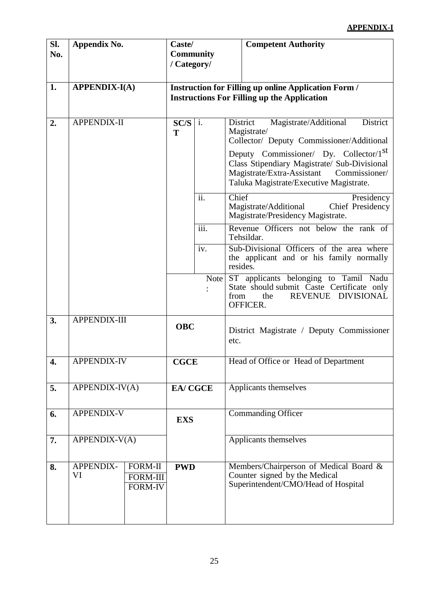## **APPENDIX-I**

| Sl.<br>No. | Appendix No.         |                                                     | Caste/<br><b>Community</b><br>/ Category/                                                                         |                |                                                                                                                                                                                                                                                                                                           | <b>Competent Authority</b>                           |  |  |
|------------|----------------------|-----------------------------------------------------|-------------------------------------------------------------------------------------------------------------------|----------------|-----------------------------------------------------------------------------------------------------------------------------------------------------------------------------------------------------------------------------------------------------------------------------------------------------------|------------------------------------------------------|--|--|
| 1.         | <b>APPENDIX-I(A)</b> |                                                     | <b>Instruction for Filling up online Application Form /</b><br><b>Instructions For Filling up the Application</b> |                |                                                                                                                                                                                                                                                                                                           |                                                      |  |  |
| 2.         | <b>APPENDIX-II</b>   |                                                     | SC/S<br>T                                                                                                         | i.             | Magistrate/Additional<br>District<br>District<br>Magistrate/<br>Collector/ Deputy Commissioner/Additional<br>Deputy Commissioner/ Dy. Collector/1 <sup>st</sup><br>Class Stipendiary Magistrate/ Sub-Divisional<br>Magistrate/Extra-Assistant<br>Commissioner/<br>Taluka Magistrate/Executive Magistrate. |                                                      |  |  |
|            |                      |                                                     |                                                                                                                   | ii.            | Chief<br>Presidency<br>Magistrate/Additional<br>Chief Presidency<br>Magistrate/Presidency Magistrate.                                                                                                                                                                                                     |                                                      |  |  |
|            |                      |                                                     |                                                                                                                   | iii.           |                                                                                                                                                                                                                                                                                                           | Revenue Officers not below the rank of<br>Tehsildar. |  |  |
|            |                      |                                                     |                                                                                                                   | iv.            | Sub-Divisional Officers of the area where<br>the applicant and or his family normally<br>resides.                                                                                                                                                                                                         |                                                      |  |  |
|            |                      |                                                     |                                                                                                                   |                | Note ST applicants belonging to Tamil Nadu<br>State should submit Caste Certificate only<br>REVENUE DIVISIONAL<br>from<br>the<br>OFFICER.                                                                                                                                                                 |                                                      |  |  |
| 3.         | <b>APPENDIX-III</b>  |                                                     | <b>OBC</b>                                                                                                        |                | etc.                                                                                                                                                                                                                                                                                                      | District Magistrate / Deputy Commissioner            |  |  |
| 4.         | <b>APPENDIX-IV</b>   |                                                     | <b>CGCE</b>                                                                                                       |                | Head of Office or Head of Department                                                                                                                                                                                                                                                                      |                                                      |  |  |
| 5.         | APPENDIX-IV(A)       |                                                     |                                                                                                                   | <b>EA/CGCE</b> |                                                                                                                                                                                                                                                                                                           | Applicants themselves                                |  |  |
| 6.         | <b>APPENDIX-V</b>    |                                                     | <b>EXS</b>                                                                                                        |                |                                                                                                                                                                                                                                                                                                           | <b>Commanding Officer</b>                            |  |  |
| 7.         | APPENDIX-V(A)        |                                                     |                                                                                                                   |                |                                                                                                                                                                                                                                                                                                           | Applicants themselves                                |  |  |
| 8.         | APPENDIX-<br>VI      | <b>FORM-II</b><br><b>FORM-III</b><br><b>FORM-IV</b> | <b>PWD</b>                                                                                                        |                | Members/Chairperson of Medical Board &<br>Counter signed by the Medical<br>Superintendent/CMO/Head of Hospital                                                                                                                                                                                            |                                                      |  |  |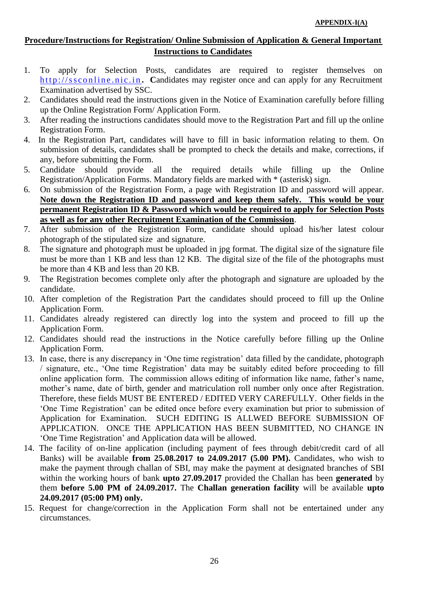## **Procedure/Instructions for Registration/ Online Submission of Application & General Important Instructions to Candidates**

- 1. To apply for Selection Posts, candidates are required to register themselves on http://ssconline.nic.in. Candidates may register once and can apply for any Recruitment Examination advertised by SSC.
- 2. Candidates should read the instructions given in the Notice of Examination carefully before filling up the Online Registration Form/ Application Form.
- 3. After reading the instructions candidates should move to the Registration Part and fill up the online Registration Form.
- 4. In the Registration Part, candidates will have to fill in basic information relating to them. On submission of details, candidates shall be prompted to check the details and make, corrections, if any, before submitting the Form.
- 5. Candidate should provide all the required details while filling up the Online Registration/Application Forms. Mandatory fields are marked with \* (asterisk) sign.
- 6. On submission of the Registration Form, a page with Registration ID and password will appear. **Note down the Registration ID and password and keep them safely. This would be your permanent Registration ID & Password which would be required to apply for Selection Posts as well as for any other Recruitment Examination of the Commission**.
- 7. After submission of the Registration Form, candidate should upload his/her latest colour photograph of the stipulated size and signature.
- 8. The signature and photograph must be uploaded in jpg format. The digital size of the signature file must be more than 1 KB and less than 12 KB. The digital size of the file of the photographs must be more than 4 KB and less than 20 KB.
- 9. The Registration becomes complete only after the photograph and signature are uploaded by the candidate.
- 10. After completion of the Registration Part the candidates should proceed to fill up the Online Application Form.
- 11. Candidates already registered can directly log into the system and proceed to fill up the Application Form.
- 12. Candidates should read the instructions in the Notice carefully before filling up the Online Application Form.
- 13. In case, there is any discrepancy in 'One time registration' data filled by the candidate, photograph / signature, etc., 'One time Registration' data may be suitably edited before proceeding to fill online application form. The commission allows editing of information like name, father's name, mother's name, date of birth, gender and matriculation roll number only once after Registration. Therefore, these fields MUST BE ENTERED / EDITED VERY CAREFULLY. Other fields in the 'One Time Registration' can be edited once before every examination but prior to submission of Application for Examination. SUCH EDITING IS ALLWED BEFORE SUBMISSION OF APPLICATION. ONCE THE APPLICATION HAS BEEN SUBMITTED, NO CHANGE IN 'One Time Registration' and Application data will be allowed.
- 14. The facility of on-line application (including payment of fees through debit/credit card of all Banks) will be available **from 25.08.2017 to 24.09.2017 (5.00 PM).** Candidates, who wish to make the payment through challan of SBI, may make the payment at designated branches of SBI within the working hours of bank **upto 27.09.2017** provided the Challan has been **generated** by them **before 5.00 PM of 24.09.2017.** The **Challan generation facility** will be available **upto 24.09.2017 (05:00 PM) only.**
- 15. Request for change/correction in the Application Form shall not be entertained under any circumstances.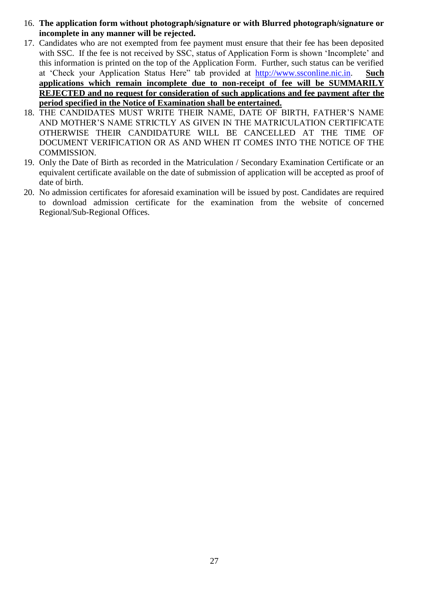- 16. **The application form without photograph/signature or with Blurred photograph/signature or incomplete in any manner will be rejected.**
- 17. Candidates who are not exempted from fee payment must ensure that their fee has been deposited with SSC. If the fee is not received by SSC, status of Application Form is shown 'Incomplete' and this information is printed on the top of the Application Form. Further, such status can be verified at 'Check your Application Status Here" tab provided at [http://www.ssconline.nic.in.](http://www.ssconline.nic.in/) **Such applications which remain incomplete due to non-receipt of fee will be SUMMARILY REJECTED and no request for consideration of such applications and fee payment after the period specified in the Notice of Examination shall be entertained.**
- 18. THE CANDIDATES MUST WRITE THEIR NAME, DATE OF BIRTH, FATHER'S NAME AND MOTHER'S NAME STRICTLY AS GIVEN IN THE MATRICULATION CERTIFICATE OTHERWISE THEIR CANDIDATURE WILL BE CANCELLED AT THE TIME OF DOCUMENT VERIFICATION OR AS AND WHEN IT COMES INTO THE NOTICE OF THE COMMISSION.
- 19. Only the Date of Birth as recorded in the Matriculation / Secondary Examination Certificate or an equivalent certificate available on the date of submission of application will be accepted as proof of date of birth.
- 20. No admission certificates for aforesaid examination will be issued by post. Candidates are required to download admission certificate for the examination from the website of concerned Regional/Sub-Regional Offices.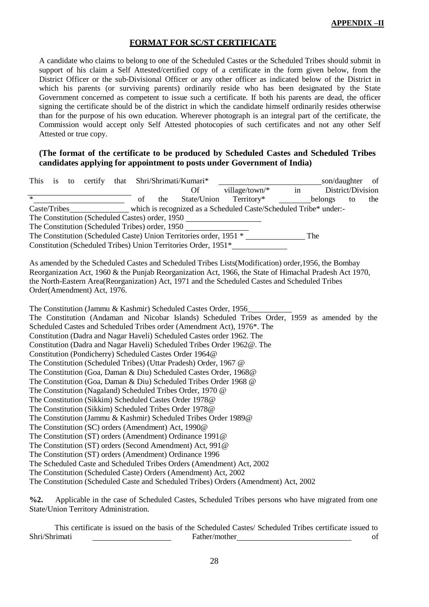#### **FORMAT FOR SC/ST CERTIFICATE**

A candidate who claims to belong to one of the Scheduled Castes or the Scheduled Tribes should submit in support of his claim a Self Attested/certified copy of a certificate in the form given below, from the District Officer or the sub-Divisional Officer or any other officer as indicated below of the District in which his parents (or surviving parents) ordinarily reside who has been designated by the State Government concerned as competent to issue such a certificate. If both his parents are dead, the officer signing the certificate should be of the district in which the candidate himself ordinarily resides otherwise than for the purpose of his own education. Wherever photograph is an integral part of the certificate, the Commission would accept only Self Attested photocopies of such certificates and not any other Self Attested or true copy.

#### **(The format of the certificate to be produced by Scheduled Castes and Scheduled Tribes candidates applying for appointment to posts under Government of India)**

| This   |  |                             |    |     | is to certify that Shri/Shrimati/Kumari*                               |                                                                                                         |    | son/daughter |                   | of  |
|--------|--|-----------------------------|----|-----|------------------------------------------------------------------------|---------------------------------------------------------------------------------------------------------|----|--------------|-------------------|-----|
|        |  |                             |    |     | <b>Of</b>                                                              | village/town/*                                                                                          | in |              | District/Division |     |
| $\ast$ |  |                             | of | the | State/Union                                                            | Territory*                                                                                              |    | belongs      | to                | the |
|        |  |                             |    |     |                                                                        | Caste/Tribes_______________ which is recognized as a Scheduled Caste/Scheduled Tribe* under:-           |    |              |                   |     |
|        |  |                             |    |     | The Constitution (Scheduled Castes) order, 1950                        |                                                                                                         |    |              |                   |     |
|        |  |                             |    |     | The Constitution (Scheduled Tribes) order, 1950                        |                                                                                                         |    |              |                   |     |
|        |  |                             |    |     |                                                                        | The Constitution (Scheduled Caste) Union Territories order, 1951 *                                      |    | The          |                   |     |
|        |  |                             |    |     |                                                                        | Constitution (Scheduled Tribes) Union Territories Order, 1951*                                          |    |              |                   |     |
|        |  |                             |    |     |                                                                        |                                                                                                         |    |              |                   |     |
|        |  |                             |    |     |                                                                        | As amended by the Scheduled Castes and Scheduled Tribes Lists (Modification) order, 1956, the Bombay    |    |              |                   |     |
|        |  |                             |    |     |                                                                        | Reorganization Act, 1960 & the Punjab Reorganization Act, 1966, the State of Himachal Pradesh Act 1970, |    |              |                   |     |
|        |  |                             |    |     |                                                                        | the North-Eastern Area(Reorganization) Act, 1971 and the Scheduled Castes and Scheduled Tribes          |    |              |                   |     |
|        |  | Order(Amendment) Act, 1976. |    |     |                                                                        |                                                                                                         |    |              |                   |     |
|        |  |                             |    |     |                                                                        |                                                                                                         |    |              |                   |     |
|        |  |                             |    |     | The Constitution (Jammu & Kashmir) Scheduled Castes Order, 1956        |                                                                                                         |    |              |                   |     |
|        |  |                             |    |     |                                                                        | The Constitution (Andaman and Nicobar Islands) Scheduled Tribes Order, 1959 as amended by the           |    |              |                   |     |
|        |  |                             |    |     |                                                                        | Scheduled Castes and Scheduled Tribes order (Amendment Act), 1976*. The                                 |    |              |                   |     |
|        |  |                             |    |     | Constitution (Dadra and Nagar Haveli) Scheduled Castes order 1962. The |                                                                                                         |    |              |                   |     |
|        |  |                             |    |     |                                                                        | Constitution (Dadra and Nagar Haveli) Scheduled Tribes Order 1962@. The                                 |    |              |                   |     |
|        |  |                             |    |     | Constitution (Pondicherry) Scheduled Castes Order 1964@                |                                                                                                         |    |              |                   |     |
|        |  |                             |    |     | The Constitution (Scheduled Tribes) (Uttar Pradesh) Order, 1967 @      |                                                                                                         |    |              |                   |     |
|        |  |                             |    |     | The Constitution (Goa, Daman & Diu) Scheduled Castes Order, 1968@      |                                                                                                         |    |              |                   |     |
|        |  |                             |    |     | The Constitution (Goa, Daman & Diu) Scheduled Tribes Order 1968 @      |                                                                                                         |    |              |                   |     |
|        |  |                             |    |     | The Constitution (Nagaland) Scheduled Tribes Order, 1970 @             |                                                                                                         |    |              |                   |     |
|        |  |                             |    |     | The Constitution (Sikkim) Scheduled Castes Order 1978@                 |                                                                                                         |    |              |                   |     |
|        |  |                             |    |     | The Constitution (Sikkim) Scheduled Tribes Order 1978@                 |                                                                                                         |    |              |                   |     |
|        |  |                             |    |     | The Constitution (Jammu & Kashmir) Scheduled Tribes Order 1989@        |                                                                                                         |    |              |                   |     |
|        |  |                             |    |     | The Constitution (SC) orders (Amendment) Act, 1990@                    |                                                                                                         |    |              |                   |     |
|        |  |                             |    |     | The Constitution (ST) orders (Amendment) Ordinance 1991@               |                                                                                                         |    |              |                   |     |
|        |  |                             |    |     | The Constitution (ST) orders (Second Amendment) Act, 991@              |                                                                                                         |    |              |                   |     |
|        |  |                             |    |     | The Constitution (ST) orders (Amendment) Ordinance 1996                |                                                                                                         |    |              |                   |     |
|        |  |                             |    |     |                                                                        | The Scheduled Caste and Scheduled Tribes Orders (Amendment) Act, 2002                                   |    |              |                   |     |
|        |  |                             |    |     | The Constitution (Scheduled Caste) Orders (Amendment) Act, 2002        |                                                                                                         |    |              |                   |     |
|        |  |                             |    |     |                                                                        | The Constitution (Scheduled Caste and Scheduled Tribes) Orders (Amendment) Act, 2002                    |    |              |                   |     |
|        |  |                             |    |     |                                                                        |                                                                                                         |    |              |                   |     |

**%2.** Applicable in the case of Scheduled Castes, Scheduled Tribes persons who have migrated from one State/Union Territory Administration.

This certificate is issued on the basis of the Scheduled Castes/ Scheduled Tribes certificate issued to Father/mother of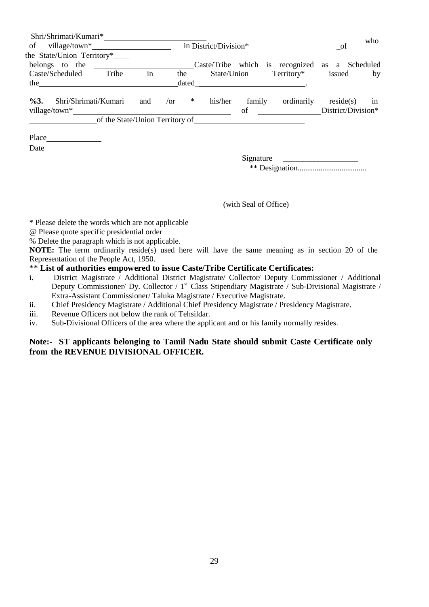| Shri/Shrimati/Kumari*          |     |                                 |         |        |                                                |                    | who |
|--------------------------------|-----|---------------------------------|---------|--------|------------------------------------------------|--------------------|-----|
| in District/Division*          |     |                                 |         |        |                                                | -of                |     |
| the State/Union Territory*     |     |                                 |         |        |                                                |                    |     |
| belongs to the                 |     |                                 |         |        | Caste/Tribe which is recognized as a Scheduled |                    |     |
| Caste/Scheduled<br>Tribe       | in  | the                             |         |        | State/Union Territory* issued                  |                    | by  |
| the $\qquad$                   |     | dated                           |         |        |                                                |                    |     |
|                                |     |                                 |         |        |                                                |                    |     |
| $\%3.$<br>Shri/Shrimati/Kumari | and | $*$<br>$\sqrt{or}$              | his/her | family | ordinarily                                     | reside(s)          | in  |
|                                |     |                                 |         | of     |                                                | District/Division* |     |
|                                |     | of the State/Union Territory of |         |        |                                                |                    |     |
|                                |     |                                 |         |        |                                                |                    |     |
|                                |     |                                 |         |        |                                                |                    |     |
|                                |     |                                 |         |        |                                                |                    |     |
|                                |     |                                 |         |        | Signature                                      |                    |     |
|                                |     |                                 |         |        |                                                |                    |     |
|                                |     |                                 |         |        |                                                |                    |     |

(with Seal of Office)

\* Please delete the words which are not applicable

- @ Please quote specific presidential order
- % Delete the paragraph which is not applicable.

**NOTE:** The term ordinarily reside(s) used here will have the same meaning as in section 20 of the Representation of the People Act, 1950.

#### \*\* **List of authorities empowered to issue Caste/Tribe Certificate Certificates:**

- i. District Magistrate / Additional District Magistrate/ Collector/ Deputy Commissioner / Additional Deputy Commissioner/ Dy. Collector / 1<sup>st</sup> Class Stipendiary Magistrate / Sub-Divisional Magistrate / Extra-Assistant Commissioner/ Taluka Magistrate / Executive Magistrate.
- ii. Chief Presidency Magistrate / Additional Chief Presidency Magistrate / Presidency Magistrate.
- iii. Revenue Officers not below the rank of Tehsildar.
- iv. Sub-Divisional Officers of the area where the applicant and or his family normally resides.

#### **Note:- ST applicants belonging to Tamil Nadu State should submit Caste Certificate only from the REVENUE DIVISIONAL OFFICER.**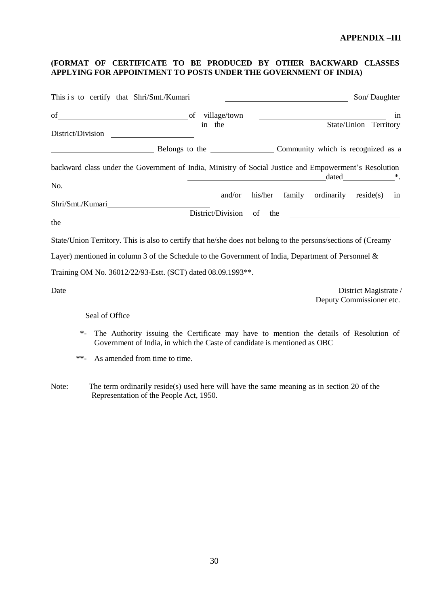#### **(FORMAT OF CERTIFICATE TO BE PRODUCED BY OTHER BACKWARD CLASSES APPLYING FOR APPOINTMENT TO POSTS UNDER THE GOVERNMENT OF INDIA)**

| This i s to certify that Shri/Smt./Kumari                                                                                                                                      |        |                                                                                                                |                                        | Son/Daughter          |
|--------------------------------------------------------------------------------------------------------------------------------------------------------------------------------|--------|----------------------------------------------------------------------------------------------------------------|----------------------------------------|-----------------------|
| of village/town contains the contract of village/town contains the contract of village/town                                                                                    |        |                                                                                                                |                                        | in                    |
| District/Division                                                                                                                                                              |        |                                                                                                                |                                        |                       |
| Belongs to the Community which is recognized as a                                                                                                                              |        |                                                                                                                |                                        |                       |
| backward class under the Government of India, Ministry of Social Justice and Empowerment's Resolution                                                                          |        | dated dated and the series of the series of the series of the series of the series of the series of the series |                                        |                       |
| No.                                                                                                                                                                            |        |                                                                                                                |                                        |                       |
|                                                                                                                                                                                | and/or |                                                                                                                | his/her family ordinarily reside(s) in |                       |
|                                                                                                                                                                                |        | District/Division of the                                                                                       |                                        |                       |
| State/Union Territory. This is also to certify that he/she does not belong to the persons/sections of (Creamy                                                                  |        |                                                                                                                |                                        |                       |
| Layer) mentioned in column 3 of the Schedule to the Government of India, Department of Personnel $\&$                                                                          |        |                                                                                                                |                                        |                       |
| Training OM No. 36012/22/93-Estt. (SCT) dated 08.09.1993**.                                                                                                                    |        |                                                                                                                |                                        |                       |
|                                                                                                                                                                                |        |                                                                                                                | Deputy Commissioner etc.               | District Magistrate / |
| Seal of Office                                                                                                                                                                 |        |                                                                                                                |                                        |                       |
| The Authority issuing the Certificate may have to mention the details of Resolution of<br>$\ast$ .<br>Government of India, in which the Caste of candidate is mentioned as OBC |        |                                                                                                                |                                        |                       |
| $***$<br>As amended from time to time.                                                                                                                                         |        |                                                                                                                |                                        |                       |

Note: The term ordinarily reside(s) used here will have the same meaning as in section 20 of the Representation of the People Act, 1950.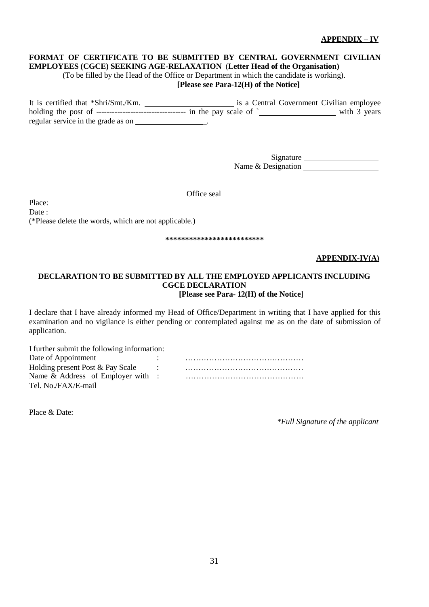31

## **APPENDIX – IV**

# **FORMAT OF CERTIFICATE TO BE SUBMITTED BY CENTRAL GOVERNMENT CIVILIAN**

**EMPLOYEES (CGCE) SEEKING AGE-RELAXATION** (**Letter Head of the Organisation)**

(To be filled by the Head of the Office or Department in which the candidate is working).

## **[Please see Para-12(H) of the Notice]**

It is certified that \*Shri/Smt./Km. is a Central Government Civilian employee holding the post of  $\frac{3}{2}$  years regular service in the grade as on \_.

> Signature Name & Designation

Office seal

Place: Date: (\*Please delete the words, which are not applicable.)

**\*\*\*\*\*\*\*\*\*\*\*\*\*\*\*\*\*\*\*\*\*\*\*\*\***

#### **APPENDIX-IV(A)**

#### **DECLARATION TO BE SUBMITTED BY ALL THE EMPLOYED APPLICANTS INCLUDING CGCE DECLARATION [Please see Para- 12(H) of the Notice**]

I declare that I have already informed my Head of Office/Department in writing that I have applied for this examination and no vigilance is either pending or contemplated against me as on the date of submission of application.

| I further submit the following information: |  |
|---------------------------------------------|--|
| Date of Appointment                         |  |
| Holding present Post & Pay Scale            |  |
| Name $&$ Address of Employer with :         |  |
| Tel. No./FAX/E-mail                         |  |

Place & Date:

*\*Full Signature of the applicant*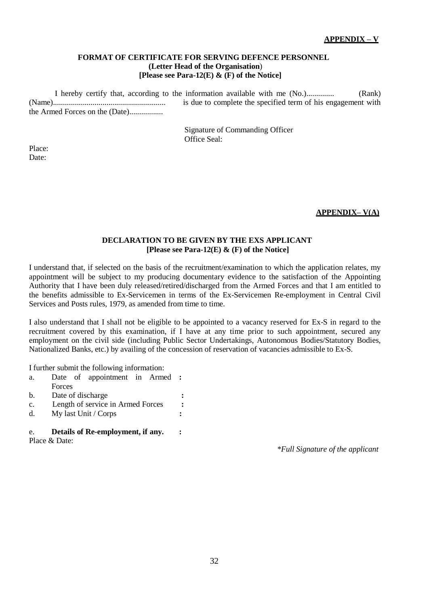#### **FORMAT OF CERTIFICATE FOR SERVING DEFENCE PERSONNEL (Letter Head of the Organisation**) **[Please see Para-12(E) & (F) of the Notice]**

I hereby certify that, according to the information available with me (No.).............. (Rank) (Name)......................................................... is due to complete the specified term of his engagement with the Armed Forces on the (Date).................

> Signature of Commanding Officer Office Seal:

Place: Date:

#### **APPENDIX– V(A)**

#### **DECLARATION TO BE GIVEN BY THE EXS APPLICANT [Please see Para-12(E) & (F) of the Notice]**

I understand that, if selected on the basis of the recruitment/examination to which the application relates, my appointment will be subject to my producing documentary evidence to the satisfaction of the Appointing Authority that I have been duly released/retired/discharged from the Armed Forces and that I am entitled to the benefits admissible to Ex-Servicemen in terms of the Ex-Servicemen Re-employment in Central Civil Services and Posts rules, 1979, as amended from time to time.

I also understand that I shall not be eligible to be appointed to a vacancy reserved for Ex-S in regard to the recruitment covered by this examination, if I have at any time prior to such appointment, secured any employment on the civil side (including Public Sector Undertakings, Autonomous Bodies/Statutory Bodies, Nationalized Banks, etc.) by availing of the concession of reservation of vacancies admissible to Ex-S.

I further submit the following information:

| e.             | Details of Re-employment, if any. |   |
|----------------|-----------------------------------|---|
| $d_{\cdot}$    | My last Unit / Corps              | : |
| $C_{\bullet}$  | Length of service in Armed Forces | : |
| $\mathbf{b}$ . | Date of discharge                 |   |
|                | Forces                            |   |
| a.             | Date of appointment in Armed :    |   |

Place & Date:

*\*Full Signature of the applicant*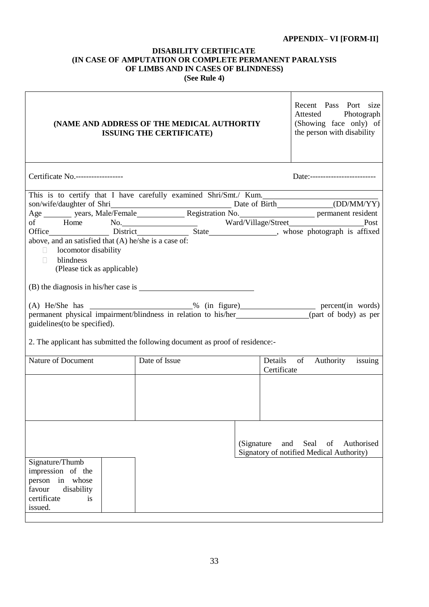## **APPENDIX– VI [FORM-II]**

#### **DISABILITY CERTIFICATE (IN CASE OF AMPUTATION OR COMPLETE PERMANENT PARALYSIS OF LIMBS AND IN CASES OF BLINDNESS) (See Rule 4)**

| (NAME AND ADDRESS OF THE MEDICAL AUTHORTIY<br><b>ISSUING THE CERTIFICATE)</b>                                                                                                                                                                                                                                                                                                     | Recent Pass Port size<br>Photograph<br>Attested<br>(Showing face only) of<br>the person with disability |  |                                     |  |  |  |  |  |
|-----------------------------------------------------------------------------------------------------------------------------------------------------------------------------------------------------------------------------------------------------------------------------------------------------------------------------------------------------------------------------------|---------------------------------------------------------------------------------------------------------|--|-------------------------------------|--|--|--|--|--|
| Certificate No.------------------<br>Date:--------------------------                                                                                                                                                                                                                                                                                                              |                                                                                                         |  |                                     |  |  |  |  |  |
| This is to certify that I have carefully examined Shri/Smt./ Kum.<br>son/wife/daughter of Shri Date of Birth (DD/MM/YY)<br>Age vears, Male/Female Registration No. permanent resident<br>of Home No. Ward/Village/Street Post<br>Office District Bistrict State whose photograph is affixed<br>above, and an satisfied that (A) he/she is a case of:<br>locomotor disability<br>H |                                                                                                         |  |                                     |  |  |  |  |  |
| guidelines (to be specified).                                                                                                                                                                                                                                                                                                                                                     | blindness<br>$\Box$<br>(Please tick as applicable)                                                      |  |                                     |  |  |  |  |  |
| 2. The applicant has submitted the following document as proof of residence:-<br>Nature of Document                                                                                                                                                                                                                                                                               | Date of Issue                                                                                           |  | Details<br>of                       |  |  |  |  |  |
|                                                                                                                                                                                                                                                                                                                                                                                   |                                                                                                         |  | Authority<br>issuing<br>Certificate |  |  |  |  |  |
|                                                                                                                                                                                                                                                                                                                                                                                   |                                                                                                         |  |                                     |  |  |  |  |  |
| Seal<br>and<br>of<br>Authorised<br>(Signature)<br>Signatory of notified Medical Authority)                                                                                                                                                                                                                                                                                        |                                                                                                         |  |                                     |  |  |  |  |  |
| Signature/Thumb<br>impression of the<br>person<br>in<br>whose<br>favour<br>disability<br>certificate<br><i>is</i><br>issued.                                                                                                                                                                                                                                                      |                                                                                                         |  |                                     |  |  |  |  |  |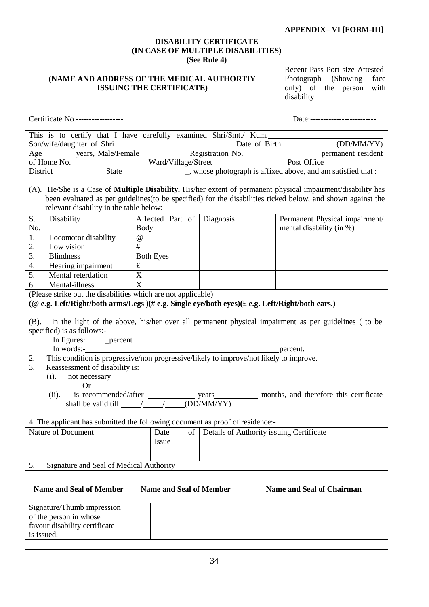## **APPENDIX– VI [FORM-III]**

#### **DISABILITY CERTIFICATE (IN CASE OF MULTIPLE DISABILITIES) (See Rule 4)**

|                                                                               |                                                                                                                                                                                                                                                                                                                                                |                                                                                                                                                                                                                                                                                                                                                                                                                                 | $15$ $15$ $10$ $10$ $10$ |                                                 |                                                                                                                                                                                                                                   |
|-------------------------------------------------------------------------------|------------------------------------------------------------------------------------------------------------------------------------------------------------------------------------------------------------------------------------------------------------------------------------------------------------------------------------------------|---------------------------------------------------------------------------------------------------------------------------------------------------------------------------------------------------------------------------------------------------------------------------------------------------------------------------------------------------------------------------------------------------------------------------------|--------------------------|-------------------------------------------------|-----------------------------------------------------------------------------------------------------------------------------------------------------------------------------------------------------------------------------------|
| (NAME AND ADDRESS OF THE MEDICAL AUTHORTIY<br><b>ISSUING THE CERTIFICATE)</b> |                                                                                                                                                                                                                                                                                                                                                |                                                                                                                                                                                                                                                                                                                                                                                                                                 |                          |                                                 | Recent Pass Port size Attested<br>Photograph (Showing<br>face<br>only) of the person with<br>disability                                                                                                                           |
|                                                                               | Certificate No.------------------                                                                                                                                                                                                                                                                                                              |                                                                                                                                                                                                                                                                                                                                                                                                                                 |                          |                                                 | Date:--------------------------                                                                                                                                                                                                   |
|                                                                               | This is to certify that I have carefully examined Shri/Smt./ Kum.                                                                                                                                                                                                                                                                              |                                                                                                                                                                                                                                                                                                                                                                                                                                 |                          |                                                 |                                                                                                                                                                                                                                   |
|                                                                               |                                                                                                                                                                                                                                                                                                                                                |                                                                                                                                                                                                                                                                                                                                                                                                                                 |                          |                                                 | Son/wife/daughter of Shri Magnetics Contact Contact Contact Contact Contact Contact Contact Contact Contact Contact Contact Contact Contact Contact Contact Contact Contact Contact Contact Contact Contact Contact Contact Co    |
|                                                                               |                                                                                                                                                                                                                                                                                                                                                |                                                                                                                                                                                                                                                                                                                                                                                                                                 |                          |                                                 |                                                                                                                                                                                                                                   |
|                                                                               |                                                                                                                                                                                                                                                                                                                                                |                                                                                                                                                                                                                                                                                                                                                                                                                                 |                          |                                                 |                                                                                                                                                                                                                                   |
|                                                                               |                                                                                                                                                                                                                                                                                                                                                |                                                                                                                                                                                                                                                                                                                                                                                                                                 |                          |                                                 |                                                                                                                                                                                                                                   |
|                                                                               | relevant disability in the table below:                                                                                                                                                                                                                                                                                                        |                                                                                                                                                                                                                                                                                                                                                                                                                                 |                          |                                                 | (A). He/She is a Case of <b>Multiple Disability.</b> His/her extent of permanent physical impairment/disability has<br>been evaluated as per guidelines(to be specified) for the disabilities ticked below, and shown against the |
| S.                                                                            | Disability                                                                                                                                                                                                                                                                                                                                     | Affected Part of Diagnosis                                                                                                                                                                                                                                                                                                                                                                                                      |                          |                                                 | Permanent Physical impairment/                                                                                                                                                                                                    |
| No.                                                                           |                                                                                                                                                                                                                                                                                                                                                | <b>Body</b>                                                                                                                                                                                                                                                                                                                                                                                                                     |                          |                                                 | mental disability (in %)                                                                                                                                                                                                          |
| 1.                                                                            | Locomotor disability                                                                                                                                                                                                                                                                                                                           | $\omega$                                                                                                                                                                                                                                                                                                                                                                                                                        |                          |                                                 |                                                                                                                                                                                                                                   |
| $\frac{2}{3}$ .                                                               | Low vision                                                                                                                                                                                                                                                                                                                                     | #                                                                                                                                                                                                                                                                                                                                                                                                                               |                          |                                                 |                                                                                                                                                                                                                                   |
|                                                                               | <b>Blindness</b>                                                                                                                                                                                                                                                                                                                               | <b>Both Eyes</b>                                                                                                                                                                                                                                                                                                                                                                                                                |                          |                                                 |                                                                                                                                                                                                                                   |
| 4.                                                                            | Hearing impairment                                                                                                                                                                                                                                                                                                                             | f                                                                                                                                                                                                                                                                                                                                                                                                                               |                          |                                                 |                                                                                                                                                                                                                                   |
| 5.                                                                            | Mental reterdation                                                                                                                                                                                                                                                                                                                             | $\mathbf{X}$                                                                                                                                                                                                                                                                                                                                                                                                                    |                          | the contract of the contract of the contract of |                                                                                                                                                                                                                                   |
| 6.                                                                            | Mental-illness<br>(Please strike out the disabilities which are not applicable)                                                                                                                                                                                                                                                                | X                                                                                                                                                                                                                                                                                                                                                                                                                               |                          |                                                 |                                                                                                                                                                                                                                   |
| 2.<br>3.                                                                      | specified) is as follows:-<br>In figures: ______ percent<br>In words:-<br>This condition is progressive/non progressive/likely to improve/not likely to improve.<br>Reassessment of disability is:<br>(i). not necessary<br>Or<br>(ii).<br>4. The applicant has submitted the following document as proof of residence:-<br>Nature of Document | shall be valid till $\frac{1}{\sqrt{1-\frac{1}{\sqrt{1-\frac{1}{\sqrt{1-\frac{1}{\sqrt{1-\frac{1}{\sqrt{1-\frac{1}{\sqrt{1-\frac{1}{\sqrt{1-\frac{1}{\sqrt{1-\frac{1}{\sqrt{1-\frac{1}{\sqrt{1-\frac{1}{\sqrt{1-\frac{1}{\sqrt{1-\frac{1}{\sqrt{1-\frac{1}{\sqrt{1-\frac{1}{\sqrt{1-\frac{1}{\sqrt{1-\frac{1}{\sqrt{1-\frac{1}{\sqrt{1-\frac{1}{\sqrt{1-\frac{1}{\sqrt{1-\frac{1}{\sqrt{1-\frac{1}{\sqrt{1-\frac$<br>Date<br>of |                          |                                                 | (B). In the light of the above, his/her over all permanent physical impairment as per guidelines (to be<br>percent.<br>Details of Authority issuing Certificate                                                                   |
|                                                                               |                                                                                                                                                                                                                                                                                                                                                | Issue                                                                                                                                                                                                                                                                                                                                                                                                                           |                          |                                                 |                                                                                                                                                                                                                                   |
| 5.                                                                            | Signature and Seal of Medical Authority                                                                                                                                                                                                                                                                                                        |                                                                                                                                                                                                                                                                                                                                                                                                                                 |                          |                                                 |                                                                                                                                                                                                                                   |
|                                                                               |                                                                                                                                                                                                                                                                                                                                                |                                                                                                                                                                                                                                                                                                                                                                                                                                 |                          |                                                 |                                                                                                                                                                                                                                   |
|                                                                               | <b>Name and Seal of Member</b>                                                                                                                                                                                                                                                                                                                 | <b>Name and Seal of Member</b>                                                                                                                                                                                                                                                                                                                                                                                                  |                          |                                                 | <b>Name and Seal of Chairman</b>                                                                                                                                                                                                  |
|                                                                               | Signature/Thumb impression<br>of the person in whose<br>favour disability certificate<br>is issued.                                                                                                                                                                                                                                            |                                                                                                                                                                                                                                                                                                                                                                                                                                 |                          |                                                 |                                                                                                                                                                                                                                   |